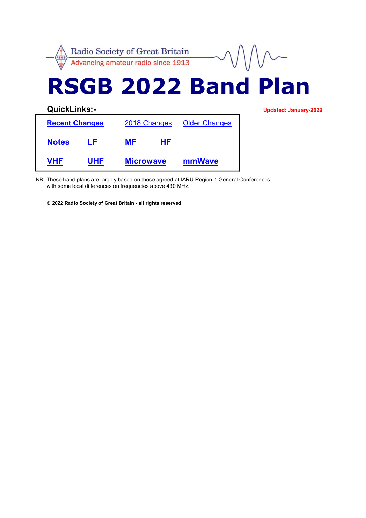

NB: These band plans are largely based on those agreed at IARU Region-1 General Conferences with some local differences on frequencies above 430 MHz.

© 2022 Radio Society of Great Britain - all rights reserved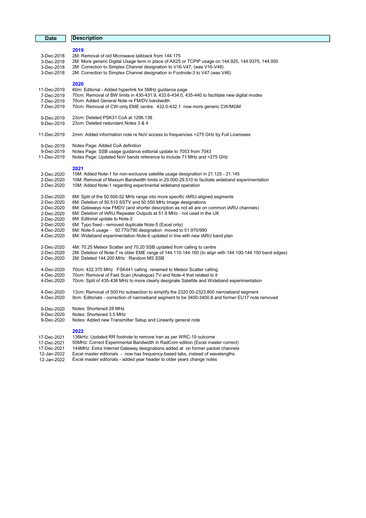| <b>Date</b> | <b>Description</b>                                                                                      |  |  |  |  |  |  |
|-------------|---------------------------------------------------------------------------------------------------------|--|--|--|--|--|--|
|             |                                                                                                         |  |  |  |  |  |  |
|             | 2019                                                                                                    |  |  |  |  |  |  |
| 3-Dec-2018  | 2M: Removal of old Microwave talkback from 144.175                                                      |  |  |  |  |  |  |
| 3-Dec-2018  | 2M: More generic Digital Usage term in place of AX25 or TCPIP usage on 144.925, 144.9375, 144.950       |  |  |  |  |  |  |
| 3-Dec-2018  | 2M: Correction to Simplex Channel designation to V16-V47, (was V16-V48)                                 |  |  |  |  |  |  |
| 3-Dec-2018  | 2M: Correction to Simplex Channel designation in Footnote-3 to V47 (was V46)                            |  |  |  |  |  |  |
|             |                                                                                                         |  |  |  |  |  |  |
|             | 2020                                                                                                    |  |  |  |  |  |  |
| 11-Dec-2019 | 60m: Editorial - Added hyperlink for 5MHz guidance page                                                 |  |  |  |  |  |  |
| 7-Dec-2019  | 70cm: Removal of BW limits in 430-431.9, 433.6-434.0, 435-440 to facilitate new digital modes           |  |  |  |  |  |  |
| 7-Dec-2019  | 70cm: Added General Note re FM/DV bandwidth                                                             |  |  |  |  |  |  |
| 7-Dec-2019  | 70cm: Removal of CW-only EME centre. 432.0-432.1 now more generic CW/MGM                                |  |  |  |  |  |  |
|             |                                                                                                         |  |  |  |  |  |  |
| 9-Dec-2019  | 23cm: Deleted PSK31 CoA at 1296.138                                                                     |  |  |  |  |  |  |
| 9-Dec-2019  | 23cm: Deleted redundant Notes 3 & 4                                                                     |  |  |  |  |  |  |
|             |                                                                                                         |  |  |  |  |  |  |
| 11-Dec-2019 | 2mm: Added information note re NoV access to frequencies >275 GHz by Full Licensees                     |  |  |  |  |  |  |
|             |                                                                                                         |  |  |  |  |  |  |
| 9-Dec-2019  | Notes Page: Added CoA definition                                                                        |  |  |  |  |  |  |
| 9-Dec-2019  | Notes Page: SSB usage guidance editorial update to 7053 from 7043                                       |  |  |  |  |  |  |
| 11-Dec-2019 | Notes Page: Updated NoV bands reference to include 71 MHz and >275 GHz                                  |  |  |  |  |  |  |
|             |                                                                                                         |  |  |  |  |  |  |
|             | 2021                                                                                                    |  |  |  |  |  |  |
| 2-Dec-2020  | 15M: Added Note-1 for non-exclusive satellite usage designation in 21.125 - 21.145                      |  |  |  |  |  |  |
| 2-Dec-2020  | 10M: Removal of Maxium Bandwidth limits in 29.000-29.510 to faciliate wideband experimentation          |  |  |  |  |  |  |
| 2-Dec-2020  | 10M: Added Note-1 regarding experimental wideband operation                                             |  |  |  |  |  |  |
|             |                                                                                                         |  |  |  |  |  |  |
| 2-Dec-2020  | 6M: Split of the 50.500-52 MHz range into more specific IARU-aligned segments                           |  |  |  |  |  |  |
| 2-Dec-2020  | 6M: Deletion of 50.510 SSTV and 50.550 MHz Image designations                                           |  |  |  |  |  |  |
| 2-Dec-2020  | 6M: Gateways now FMDV (and shorter description as not all are on common IARU channels)                  |  |  |  |  |  |  |
| 2-Dec-2020  | 6M: Deletion of IARU Repeater Outputs at 51.9 MHz - not used in the UK                                  |  |  |  |  |  |  |
| 2-Dec-2020  | 6M: Editorial update to Note-2                                                                          |  |  |  |  |  |  |
| 2-Dec-2020  | 6M: Typo fixed - removed duplicate Note-5 (Excel only)                                                  |  |  |  |  |  |  |
| 4-Dec-2020  | 6M: Note-5 usage - 50.770/790 designation moved to 51.970/990                                           |  |  |  |  |  |  |
| 4-Dec-2020  | 6M: Wideband experimentation Note-6 updated in line with new IARU band plan                             |  |  |  |  |  |  |
|             |                                                                                                         |  |  |  |  |  |  |
| 2-Dec-2020  | 4M: 70.25 Meteor Scatter and 70.20 SSB updated from calling to centre                                   |  |  |  |  |  |  |
| 2-Dec-2020  | 2M: Deletion of Note-7 re older EME range of 144.110-144.160 (to align with 144.100-144.150 band edges) |  |  |  |  |  |  |
| 2-Dec-2020  | 2M: Deleted 144.200 MHz Random MS SSB                                                                   |  |  |  |  |  |  |
|             |                                                                                                         |  |  |  |  |  |  |
| 4-Dec-2020  | 70cm: 432.370 MHz FSK441 calling renamed to Meteor Scatter calling                                      |  |  |  |  |  |  |
| 4-Dec-2020  | 70cm: Removal of Fast Scan (Analogue) TV and Note-4 that related to it                                  |  |  |  |  |  |  |
| 4-Dec-2020  | 70cm: Split of 435-438 MHz to more clearly designate Satellite and Wideband experimentation             |  |  |  |  |  |  |
|             |                                                                                                         |  |  |  |  |  |  |
| 4-Dec-2020  | 13cm: Removal of 500 Hz subsection to simplify the 2320.00-2323.800 narrowband segment                  |  |  |  |  |  |  |
| 4-Dec-2020  | 9cm: Editorials - correction of narrowband segment to be 3400-3400.8 and former EU17 note removed       |  |  |  |  |  |  |
|             |                                                                                                         |  |  |  |  |  |  |
| 9-Dec-2020  | Notes: Shortened 28 MHz                                                                                 |  |  |  |  |  |  |
| 9-Dec-2020  | Notes: Shortened 3.5 MHz                                                                                |  |  |  |  |  |  |
| 9-Dec-2020  | Notes: Added new Transmitter Setup and Linearity general note                                           |  |  |  |  |  |  |
|             |                                                                                                         |  |  |  |  |  |  |
|             | 2022                                                                                                    |  |  |  |  |  |  |
| 17-Dec-2021 | 136 kHz: Updated RR footnote to remove Iran as per WRC-19 outcome                                       |  |  |  |  |  |  |
| 17-Dec-2021 | 50MHz: Correct Experimental Bandwidth in RadCom edition (Excel master correct)                          |  |  |  |  |  |  |
| 17-Dec-2021 | 144MHz: Extra Internet Gateway designations added at on former packet channels                          |  |  |  |  |  |  |
| 12-Jan-2022 | Excel master editorials - now has frequency-based tabs, instead of wavelengths                          |  |  |  |  |  |  |

12-Jan-2022 Excel master editorials - added year header to older years change notes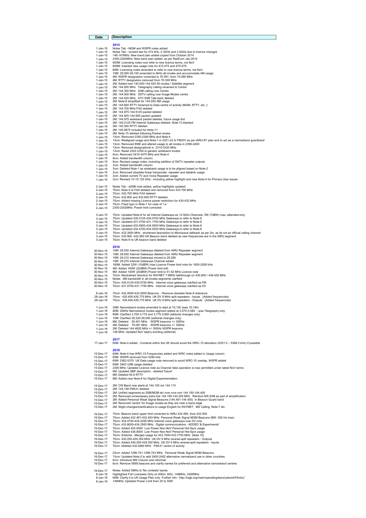#### Date Description

1-Jan-15<br>
2015 Notes Tab - MGM and WSPR notes added<br>
1-Jan-15 Notes Tab - revised text for 472 kHz, 2.3GHz and 3.4GHz due to licence changes<br>
1-Jan-15 148-147MHz: New band plan added copied from October 2014<br>
1-Jan-15 2000 1-Jan-15 60M: Licensing notes amended to refer to new licence terms, not NoV 1-Jan-15 10M: 29,000-29,100 amended to 6kHz all modes and acccomodate AM usage 1-Jan-15 (Mit. 29,000-29, two anier lue of the ratio flood and accomposition of the VSPR designation corrected to 70.091, from 70.090 MHz<br>1-Jan-15 (Mit. NTTY designation removed from 70.300 MHz<br>1-Jan-15 (2M: Added new 144. 1-Jan-15 4M: RTTY designation removed from 70.300 MHz<br>1-Jan-15 2M: 144.060 enew 144.000-144.025 All modes / Statellite segment<br>1-Jan-15 2M: 144.4600 MHz SSB calling onw Centre<br>1-Jan-15 2M: 144.4600 MHz SSB calling now Imag 1-Jan-15 3cm: Added bandwidth column 1-Jan-15 3cm: Deleted Note-1 as wideband usage is to be aligned based on Note-2 1-Jan-15 3cm: Removed obsolete linear tranponder, repeater and datalink usage<br>1-Jan-15 3cm: Added current TV and Voice Repeater usage<br>1-Jan-15 3cm: Revised 10-10.125 GHz - including yellow highlight and new Note-4 f 2-Jan-15 Notes Tab - eSSB note added, yellow highlights updated<br>2-Jan-15 70cm: Note-3 re FAX deleted and removed from 433.700 MHz<br>2-Jan-15 70cm: 432.700 MHz FAX deleted<br>2-Jan-15 70cm: 432.600 and 433.600 RTTY deleted<br>2-Jan 3-Jan-15 70cm: Updated Note-8 for all Internet Gateways as 12.5kHz Channels, 5W (7dBW) max, attended-only 3-Jan-15 70cm: Updated 430.0125-430.0750 MHz Gateways to refer to Note-8 3-Jan-15 70cm: Updated 431.0750-431.1750 MHz Gateways to refer to Note-8 3-Jan-15 70cm: Updated 433.9500-434.0500 MHz Gateways to refer to Note-8 3-Jan-15 70cm: Updated 434.4750-434.5250 MHz Gateways to refer to Note-8<br>3-Jan-15 70cm: 432.3500 MHz shortened description to Microwave talkback as per 2m, as its not an official calling channel<br>3-Jan-15 70cm: 432. 30-Nov-15 2016<br>
1000: 29.530 Internet Gateways deleted from IARU Repeater segment<br>
30-Nov-15 10M: 29.630 Internet Gateways deleted from IARU Repeater segment<br>
30-Nov-15 10M: 29.270 Internet Gateways channel added<br>
30-Nov-1 30-Nov-15 6M: Added 100W (20dBW) Power limit to 51-52 MHz Licence note 30-Nov-15 70cm: Neutralised direction for RAYNET 7.6MHz talkthrough on 430.800 / 438.400 MHz 30-Nov-15 Notes: AM bandwidth in all-modes segments clarified<br>30-Nov-15 70cm: 430.0125-430.0750 MHz Internet voice gateways clarified as FM<br>30-Nov-15 70cm: 431.0750-431.1750 MHz Internet voice gateways clarified as D

8-Jan-16 70cm: 432.4000-432.5000 Beacons - Remove obsolete Note-9 reference 28-Jan-16 70cm: 430.400-430.775 MHz UK DV 9 MHz split repeaters - Inputs (Added frequencies) 28-Jan-16 70cm: 439.400-439.775 MHz UK DV 9 MHz split repeaters - Outputs (Added frequencies)

1-Jun-16 30M: Narrowband modes amended to start at 10,130 (was 10,140)<br>1-Jun-16 80M: 200Hz Narrowband modes esgment added at 3,70-3,800 - was Telegraphy only<br>1-Jun-16 80M: 20nHz Narrowband modes esgment added at 3,70-3,800

2017

17-Jan-17 60M: Note-4 added - Contacts within the UK should avoid the WRC-15 allocation (5351.5 – 5366.5 kHz) if possible

|           | 2018                                                                                                     |
|-----------|----------------------------------------------------------------------------------------------------------|
| 15-Dec-17 | 60M: Note-4 has WRC-15 Frequencies added and WRC notes added in Usage column                             |
| 15-Dec-17 | 60M: WSPR removed from 5290 kHz                                                                          |
| 15-Dec-17 | 60M: 5362-5370 UK Data usage note removed to avoid WRC-15 overlap, WSPR added                            |
| 15-Dec-17 | 60M: 5403 USB usage deleted                                                                              |
| 15-Dec-17 | 2300 MHz: Updated Licence note as Channel Isles operation is now permitted under latest NoV terms        |
| 15-Dec-17 | 6M: Updated SBP description - deleted 'future'                                                           |
| 15-Dec-17 | 6M: Deleted 50.6 RTTY                                                                                    |
| 15-Dec-17 | 6M: Added new Note-6 for Digital Experimentation                                                         |
| 15-Dec-17 | 2M: CW Band now starts at 144,100 not 144,110                                                            |
| 15-Dec-17 | 2M: 144.138 PSK31 deleted                                                                                |
| 15-Dec-17 | 2M: Unified segments so SSB/MGM etc now runs rom 144.150-144.400                                         |
| 15-Dec-17 | 2M: Removed unnecessary extra line 144.195-144.205 MHz Random MS SSB as part of simplification           |
| 15-Dec-17 | 2M: Added Personal Weak Signal Beacons (144.491-144.493) in Beacon Guard band                            |
| 15-Dec-17 | 2M: Removed 'centre' for Image modes as they are near a band edge                                        |
| 15-Dec-17 | 2M: Slight changes/clarifications to usage English for RAYNET, MS Calling, Note-7 etc.                   |
| 16-Dec-17 | 70cm: Beacon band upper limit corrected to IARU 432.490, from 432.500                                    |
| 16-Dec-17 | 70cm: Added 432.491-432.493 MHz Personal Weak Signal MGM Beacons (BW: 500 Hz max)                        |
| 16-Dec-17 | 70cm: 434.4750-434.5250 MHz Internet voice gateways now DV only                                          |
| 16-Dec-17 | 70cm: 433.8000-434.2500 MHz Digital communications - ADDED '& Experiments'                               |
| 16-Dec-17 | 70cm: Added 434,0000 Low Power Non-NoV Personal Hot-Spot usage                                           |
| 16-Dec-17 | 70cm: Added 438,8000 Low Power Non-NoV Personal Hot-Spot usage                                           |
| 16-Dec-17 | 70cm: Editorial - Merged usage for 433.7000-433.7750 MHz (Note 10)                                       |
| 16-Dec-17 | 70cm: 430.250-430.300 MHz UK DV 9 MHz reverse-split repeaters - Outputs                                  |
| 16-Dec-17 | 70cm: Added 439.250-439.300 MHz UK DV 9 MHz reverse-split repeaters - Inputs                             |
| 16-Dec-17 | 70cm: Deleted 432.0880 MHz PSK31 centre of activity                                                      |
| 16-Dec-17 | 23cm: Added 1296.741-1296.743 MHz Personal Weak Signal MGM Beacons                                       |
| 16-Dec-17 | 13cm: Updated Note-2 to add 2400-2402 alternative narrowband use in other countries                      |
| 16-Dec-17 | 6cm: Introduce BW Column and reformat                                                                    |
| 16-Dec-17 | 6cm: Remove 5668 beacons and clarify names for preferred and alternative narrowband centres              |
| 16-Dec-17 | Notes: Added 5MHz to 'No contests' bands                                                                 |
| 8-Jan-18  | Highlighted Full Licensees Only on 600m, 60m, 146MHz, 2300MHz                                            |
| 8-Jan-18  | 60M: Clarify it is UK Usage Plan only. Further info - http://rsgb.org/main/operating/band-plans/hf/5mhz/ |
| 8-Jan-18  | 146MHz: Updated Power Limit from 25 to 50W                                                               |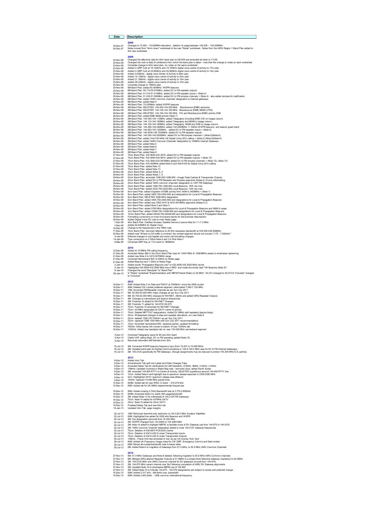| Date                   | <b>Description</b>                                                                                                                                                                                                      |
|------------------------|-------------------------------------------------------------------------------------------------------------------------------------------------------------------------------------------------------------------------|
|                        |                                                                                                                                                                                                                         |
| 18-Dec-07<br>24-Dec-07 | 2008<br>Changes to 75,500 - 76,000MHz allocation, deletion of usage between 142,000 - 144,000MHz<br>Notes moved from "4mm down" worksheet to the new "Notes" worksheet. Notes from the IARU Region 1 Band Plan added to |
|                        | this new worksheet                                                                                                                                                                                                      |
| 23-Nov-08              | 2009<br>Changed the effectivity date for 40m band plan to 29/3/09 and amended all other to 1/1/09                                                                                                                       |
| 23-Nov-08              | Changed the note re date of conference from which the band plan is taken - note that this change is made on each worksheet                                                                                              |
| 23-Nov-08<br>23-Nov-08 | Complete change to 40m band plan, inc notes on the same worksheet<br>Added in QRP CoA at 18,130kHz and 18,150kHz digital voice centre of activity to 17m plan                                                           |
| 23-Nov-08              | Added in QRP CoA at 24,950kHz and 24,960kHz digital voice centre of activity to 12m plan                                                                                                                                |
| 23-Nov-08              | Added 3,630kHz - digital voice Center of Activity to 80m plan                                                                                                                                                           |
| 23-Nov-08<br>23-Nov-08 | Added 14,130kHz - digital voice centre of activity to 20m plan<br>Added 21,180kHz - digital voice centre of activity to 15m plan                                                                                        |
| 23-Nov-08              | Added 28,330kHz - digital voice centre of activity to 10m plan                                                                                                                                                          |
| 23-Nov-08              | Complete change to 136kHz plan                                                                                                                                                                                          |
| 25-Nov-08<br>25-Nov-08 | 6M Band Plan: added 50.400MHz WSPR beacons                                                                                                                                                                              |
| 25-Nov-08              | 6M Band Plan: 50.710-50.910MHz: added DV to FM repeater outputs<br>6M Band Plan: 51.210-51.410MHz: added DV to FM repeater inputs + (Note 4)                                                                            |
| 25-Nov-08              | 6M Band Plan: 51.430-51.590MHz: added DV to FM simplex channels + (Note 4) also added simplex for clarification                                                                                                         |
| 25-Nov-08              | 6M Band Plan: added 'IARU common channels' designation to Internet gateways<br>6M Band Plan: added Note 4                                                                                                               |
| 25-Nov-08<br>26-Nov-08 | 4M Band Plan: 70.030MHz: added WSPR beacons                                                                                                                                                                             |
| 26-Nov-08              | 2M Band Plan: DELETED 144.000-144.035 MHz Moonbounce (EME) exclusive                                                                                                                                                    |
| 26-Nov-08<br>26-Nov-08 | 2M Band Plan: DELETED 144.120-144.150 MHz Moonbounce (EME) MGM (JT65)<br>2M Band Plan: DELETED 144.150-144.160 MHz FAI and Moonbounce (EME) activity SSB                                                                |
| 26-Nov-08              | 2M Band Plan: added EME MGM activity (Note 7)                                                                                                                                                                           |
| 26-Nov-08              | 2M Band Plan: 144.000-144.110MHz: added Telegraphy (including EME CW) to Usage column                                                                                                                                   |
| 26-Nov-08<br>26-Nov-08 | 2M Band Plan: 144.110-144.150MHz: added Telegraphy and MGM to Usage column                                                                                                                                              |
| 26-Nov-08              | 2M Band Plan: 144.150-144.180MHz: added Telegraphy, MGM and SSB to Usage column<br>2M Band Plan 144.490-144.500MHz: added 144.4905MHz +/- 500Hz WSPR beacons and beacon guard band                                      |
| 26-Nov-08              | 2M Band Plan: 144.900-145.1935MHz: added DV to FM repeater inputs + (Note 5)                                                                                                                                            |
| 26-Nov-08<br>26-Nov-08 | 2M Band Plan: 145.5935-145.7935MHz: added DV to FM repeater outputs<br>2M Band Plan: 145.200-145.5935MHz: added DV to FM simplex channels + (Note 5)(Note-6)                                                            |
| 26-Nov-08              | 2M Band Plan: added 144.6125 MHz UK Digital Voice (DV) calling + (Note 5) (Note 6)(Note-9)                                                                                                                              |
| 26-Nov-08              | 2M Band Plan: added 'IARU Common Channels' designation to 145MHz Internet Gateways                                                                                                                                      |
| 26-Nov-08<br>26-Nov-08 | 2M Band Plan: added Note 5<br>2M Band Plan: added Note 6                                                                                                                                                                |
| 26-Nov-08              | 2M Band Plan: added Note 7                                                                                                                                                                                              |
| 26-Nov-08              | 2M Band Plan: added Note 8                                                                                                                                                                                              |
| 27-Nov-08<br>27-Nov-08 | 70cm Band Plan: 432.9940-433.3810: added DV to FM repeater outputs<br>70cm Band Plan: 434.5940-434.9810: added DV to FM repeater outputs + (Note 12)                                                                    |
| 27-Nov-08              | 70cm Band Plan: 433.3940-433.5810MHz added DV to FM simplex channels + (Note 12), (Note 13)                                                                                                                             |
| 27-Nov-08              | 70cm Band Plan: 433.450MHz added Note 5 and 438.6125 for Digital Voice (DV) calling                                                                                                                                     |
| 27-Nov-08<br>27-Nov-08 | 70cm Band Plan: added Note 12<br>70cm Band Plan: added Note 13                                                                                                                                                          |
| 29-Nov-08              | 23cm Band Plan: added Notes 5, 6                                                                                                                                                                                        |
| 29-Nov-08              | 23cm Band Plan: added Notes 7, 8                                                                                                                                                                                        |
| 29-Nov-08<br>29-Nov-08 | 23cm Band Plan: amended 1296.500-1296.800 - Image/ Data Centres & Transponder Outputs<br>23cm Band Plan: added DV to FM Repeater and Simplex segments (Notes-5, 6) plus reformatting                                    |
| 29-Nov-08              | 23cm Band Plan: added 'IARU common channels' designation to 1297 FM Gateways                                                                                                                                            |
| 29-Nov-08              | 23cm Band Plan: added 1296.750-1296.800 Local Beacons, 10W erp max                                                                                                                                                      |
| 29-Nov-08<br>30-Nov-08 | 13cm Band Plan: added 2320.750-2320.800 Local Beacons, 10W erp max<br>9cm band Plan: added migration of EME activity from 3456 to 3400MHz + (Note 1)                                                                    |
| $30-Nov-08$            | 9cm Band Plan: added 3400.750-3400.800 and designations for Local & Propagation Beacons                                                                                                                                 |
| 30-Nov-08<br>30-Nov-08 | 9cm Band Plan: DELETED 3456 MHz designation<br>9cm Band Plan: added 3400.750-3400.800 and designations for Local & Propagation Beacons                                                                                  |
| 30-Nov-08              | 9cm Band Plan: added new 3402-3410 & 3410-3475MHz segments (Notes-2,3)                                                                                                                                                  |
| 30-Nov-08              | 9cm Band Plan: added Note 2 and Note 3                                                                                                                                                                                  |
| 30-Nov-08<br>30-Nov-08 | 6cm Band Plan: added 5760 MHz designations for Local & Propagation Beacons and 5668.8 usage<br>3cm Band Plan: added 10368.750-10369.800 and designations for Local & Propagation Beacons                                |
| 30-Nov-08              | 12mm Band Plan: added 24048.750-24048.800 and designations for Local & Propagation Beacons                                                                                                                              |
| 30-Nov-08              | Formatting corrections on most microwave bands for Service/User descriptions                                                                                                                                            |
| 30-Nov-08<br>1-Dec-08  | Added Digital Voice DV note to main Notes page<br>40m Band Plan: Clarified Amateur Satellite Service Licence Note for 7.1-7.2 MHz                                                                                       |
| $1-Dec-08$             | Added 50.630MHz for Digital Voice                                                                                                                                                                                       |
| 15-Dec-08              | Change to the frequencies in the 7MHz note                                                                                                                                                                              |
| 17-Dec-08<br>23-Dec-08 | 70cm Band Plan: removed reference to 20 kHz necessary bandwidth at 435.000-438.000MHz<br>Added note "Where no DX traffic is involved, the contest segment should not include 7,175 - 7,200kHz."                         |
| 9-Jan-09               | Editorial changes to sub-header and some cell formatting changes.                                                                                                                                                       |
| 14-Jan-09              | Typo corrections on 2.3GHz Note-2 and 3.4 GHz Note-1                                                                                                                                                                    |
| 6-Mar-09               | Corrected QRP freq on 17m band to 18086kHz                                                                                                                                                                              |
|                        | 2010                                                                                                                                                                                                                    |
| 12-Dec-09              | Added 51.510MHz FM calling frequency                                                                                                                                                                                    |

12-Dec-09 Added 51.510MHz FM calling frequency<br>12-Dec-09 Added 51.510MHz FM calling frequency<br>21-Dec-09 Anded new Note 4 to 3401-35cm Band Pilan (esp for 1240/1MHz & 1298/9MHz areas) to emphasise replanning<br>21-Dec-09 Added

#### 2012

| 16-Dec-11 | 40M: Added Note 2 on Data and PSK31 at 7040kHz+ since the 2009 re-plan           |
|-----------|----------------------------------------------------------------------------------|
| 16-Dec-11 | 40M: Deleted CW contest preferred seament: reformatted 7.060-7.100 MHz           |
| 16-Dec-11 | 10M: Amended FM/Repeater channels as per Sun City 2011                           |
| 16-Dec-11 | 6M: 50,000-50,500 MHz major changes as per Sun City 2011                         |
| 16-Dec-11 | 6M: 50.700-52.000 MHz changes for RAYNET. 25kHz and added IARU Repeater Outputs  |
| 16-Dec-11 | 4M: Changes to narrowband and beacon frequencies                                 |
| 16-Dec-11 | 2M: Ecolnote 10 added for RAYNET Changes                                         |
| 16-Dec-11 | 2M: Ecolnote 11 added for 144 975/145 575                                        |
| 16-Dec-11 | 70cm: Footnote 10 amended for RAYNET Changes                                     |
| 16-Dec-11 | 70cm: 437MHz designated for DATV centre of activity                              |
| 16-Dec-11 | 70cm: Deleted MPT1327 designations. Added DV 9MHz split repeaters (approx fregs) |
| 16-Dec-11 | 23cm: Widespread changes to data and repeater allocations -inc new Note 9        |
| 16-Dec-11 | 23cm: deleted 1296.370 FSK441 as per Sun City 2011                               |
| 16-Dec-11 | 23cm: replaced 1298-1300 MHz with Sun City 2011 recommendations                  |
| 16-Dec-11 | 13cm: Amended narrowband BW, replaced packet, updated formatting                 |
| 16-Dec-11 | 76GHz: Other bands info moved to bottom of new 134GHz tab                        |
| 16-Dec-11 | 134GHz: Added new bandplan tab inc new 134.928 MHz narrowband segment            |

### 5-Apr-12 Corrected Telegraphy typos for 80 and 20m band<br>5-Apr-12 Clarify VHF calling freqs, DV vs FM operating (added Note-12)<br>5-Apr-12 Removed redundant AM footnote from 30m

16-Jul-12 4M: Corrected WSPR beacons frequency typo (from 70.091 to 70.090 MHz)<br>16-Jul-12 2M: Updated band plan for Digitial Communications in 144.8-145.0 MHz (esp for DV & FM Internet Gateways)<br>16-Jul-12 2M:

#### 2013<br>9-Dec-12 Added Intro Tab

| 9-DBC-12        | Ayyou illuv Tay                                                                                               |
|-----------------|---------------------------------------------------------------------------------------------------------------|
| $9-Dec-12$      | Amendments Tab split into Latest and Older Changes Tabs                                                       |
| $9-Dec-12$      | Amended Notes Tab for clarifications for AM Operation, 472kHz, 5MHz, 2.3GHz, 3.4GHz                           |
| 9-Dec-12        | 136kHz: Updated countries in Radio Reg note - removed Libya, added South Sudan                                |
| 9-Dec-12        | 2M: amended 144.600 RTTY to Centre of Activity. DELETED superfluous second 144.600 RTTY line                  |
| $9-Dec-12$      | 13cm: Added Note-4 and highlight due to spectrum release expected in 2350-2390 MHz                            |
| $9-Dec-12$      | 9cm: Highlighted 3410+ spectrum release area (Note-4)                                                         |
| $9-Dec-12$      | 10GHz: replaced 10.080 MHz packet links                                                                       |
| 12-Dec-12       | 600M: Added tab for new WRC-12 band - 472-479 kHz                                                             |
| 12-Dec-12       | 60M: Added tab for UK 5MHz (experimental) frequencies                                                         |
| 19-Dec-12       | 80M: Added missing 2.7kHz Bandwidth text at 3.775-3.800kHz.                                                   |
| 19-Dec-12       | 600M: Amended Note-3 to clarify AM usage/bandwidth                                                            |
| 19-Dec-12       | 2M: Added Note-13 for withdrawal of 145 2125 FM Gateways                                                      |
| 19-Dec-12       | 70cm: Note-14 added for 437MHz DATV                                                                           |
| 19-Dec-12       | 23cm: Note-10 added for 23cm DATV                                                                             |
| 19-Dec-12       | Finalised Notes Tab and new 60m tab                                                                           |
| $16 -$ lan-13   | Updated Intro Tab, page margins                                                                               |
| $22 - 111 - 13$ | 10M: Removed downlink-only restriction on 29.3-29.5 MHz Amateur Satellites                                    |
| 22-Jul-13       | 60M: Highlighted line added for 5290 kHz Beacons and WSPR                                                     |
| 22-Jul-13       | 4M: Fax designation removed from 70.300 MHz                                                                   |
| 22-Jul-13       | 2M: WSPR Changed from 144.4905 to 144.4920 MHz                                                                |
| 22-Jul-13       | 2M: Note-14 added to highlight NBFM, to faciliate move of DV Gateway use from 144.875 to 144.8125             |
| $22$ -lul-13    | 2M: 'IARU Common Channel' designation added to most 144.8 DV Gateway frequencies                              |
| $22$ -lul-13    | 70cm: Deletion of 439 9875 POCSAG Centre                                                                      |
| 22-Jul-13       | 70cm: Deletion of 432.5-432.6 Linear Transponder Inputs                                                       |
| 22-Jul-13       | 70cm: Deletion of 432.6-432.8 Linear Transponder Outputs                                                      |
| 29-Jul-13       | 136kHz - Power limit text amended to 'erp' as per UK license, from 'eirp'                                     |
| 29-Jul-13       | 60M: Added UK Frequency Usage notes for CW QRP. Emergency Comms and Data modes                                |
| 29-Jul-13       | 60M: Moved all-modes/handwidth note to below table                                                            |
| 29-10-13        | 6M: Added Note-6 re migration of Gateways from 51.9 MHz, to 50.5 MHz IARU Common Channels                     |
|                 | 2014                                                                                                          |
| 27-Nov-13       | 6M: 51.9 MHz Gateways and Note-6 deleted, following migration to 50.5 MHz IARU Common channels                |
| 27-Nov-13       | 6M: Merged IARU-aligned Repeater Outputs at 51.9MHz to a single block following Gateway migrations to 50.5MHz |
| 27-Nov-13       | 2M: 144.8125 MHz now IARU Common channel for DV gateways (moved from 144.875)                                 |
| 27-Nov-13       | 2M: 144 875 MHz vacant channel now 'thd' following completion of IARU DV Gateway alignments                   |

- 27-Nov-13 2M: 144 S75 MHz vacant channel now 'thof following completion of IARU DV Gateway alignments<br>27-Nov-13 2M: Updated Note-14 to emphasise NBFM use of 144.800<br>15-Dec-13 60M: Added Note-15 to indicate 144.875
	-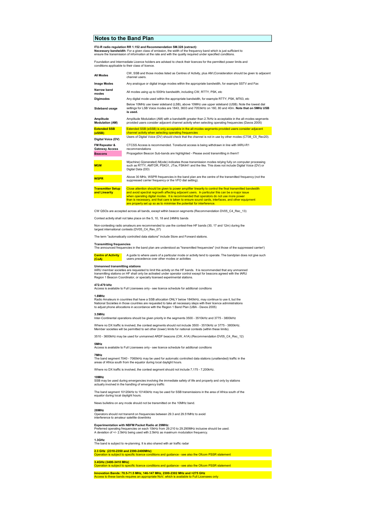#### Notes to the Band Plan

I**TU-R radio regulation RR 1.152 and Recommendation SM.328 (extract):**<br>**Necessary bandwidt**h: For a given class of emission, the width of the frequency band which is just sufficient to<br>ensure the transmission of informatio

Foundation and Intermediate Licence holders are advised to check their licences for the permitted power limits and conditions applicable to their class of licence.

| All Modes                              | CW, SSB and those modes listed as Centres of Activity, plus AM (Consideration should be given to adjacent<br>channel users.                                                                                                     |  |  |  |  |
|----------------------------------------|---------------------------------------------------------------------------------------------------------------------------------------------------------------------------------------------------------------------------------|--|--|--|--|
| <b>Image Modes</b>                     | Any analogue or digital image modes within the appropriate bandwidth, for example SSTV and Fax                                                                                                                                  |  |  |  |  |
| Narrow band<br>modes                   | All modes using up to 500Hz bandwidth, including CW, RTTY, PSK, etc                                                                                                                                                             |  |  |  |  |
| <b>Digimodes</b>                       | Any digital mode used within the appropriate bandwidth, for example RTTY, PSK, MT63, etc                                                                                                                                        |  |  |  |  |
| Sideband usage                         | Below 10MHz use lower sideband (LSB), above 10MHz use upper sideband (USB). Note the lowest dial<br>settings for LSB Voice modes are 1843, 3603 and 7053kHz on 160, 80 and 40m, Note that on 5MHz USB<br>is used.               |  |  |  |  |
| Amplitude<br><b>Modulation (AM)</b>    | Amplitude Modulation (AM) with a bandwidth greater than 2.7kHz is acceptable in the all-modes segments<br>provided users consider adjacent channel activity when selecting operating frequencies (Davos 2005)                   |  |  |  |  |
| <b>Extended SSB</b><br>(eSSB)          | Extended SSB (eSSB) is only acceptable in the all-modes segments provided users consider adjacent<br>channel activity when selecting operating frequencies                                                                      |  |  |  |  |
| Digital Voice (DV)                     | Users of Digital Voice (DV) should check that the channel is not in use by other modes (CT08 C5 Rec20).                                                                                                                         |  |  |  |  |
| FM Repeater &<br><b>Gateway Access</b> | CTCSS Access is recommended. Toneburst access is being withdrawn in line with IARU-R1<br>recommendations                                                                                                                        |  |  |  |  |
| <b>Beacons</b>                         | Propagation Beacon Sub-bands are highlighted - Please avoid transmitting in them!!                                                                                                                                              |  |  |  |  |
| <b>MGM</b>                             | M(achine) G(enerated) M(ode) indicates those transmission modes relying fully on computer processing<br>such as RTTY, AMTOR, PSK31, JTxx, FSK441 and the like. This does not include Digital Voice (DV) or<br>Digital Data (DD) |  |  |  |  |
| <b>WSPR</b>                            | Above 30 MHz. WSPR frequencies in the band plan are the centre of the transmitted frequency (not the<br>suppressed carrier frequency or the VFO dial setting).                                                                  |  |  |  |  |
|                                        | the contract of the contract of the contract of the contract of the contract of the contract of the contract of the contract of the contract of the contract of the contract of the contract of the contract of the contract o  |  |  |  |  |

Transmitter Setup Close attention should be given to power amplifier linearity to control the final transmitted bandwidth<br>and Linearity and avoid spectral regrowth affecting adjacent users. In particular this can be a majo when operating digital modes. It is recommended that operators do not use more power<br>than is necessary, and that care is taken to ensure sound cards, interfaces, and other equipment<br>are properly set up so as to minimise th

CW QSOs are accepted across all bands, except within beacon segments (Recommendation DV05\_C4\_Rec\_13)

Contest activity shall not take place on the 5, 10, 18 and 24MHz bands

Non-contesting radio amateurs are recommended to use the contest-free HF bands (30, 17 and 12m) during the largest international contests (DV05\_C4\_Rev\_07)

The term "automatically controlled data stations" include Store and Forward stations.

#### Transmitting frequencies The announced frequencies in the band plan are understood as "transmitted frequencies" (not those of the suppressed carrier!)

Centre of Activity A guide to where users of a particular mode or activity tend to operate. The bandplan does not give such and a the modes or activities with the bandplan does not give such and compare users precedence ov

#### Unmanned transmitting stations

IARU member societies are requested to limit this activity on the HF bands. It is recommended that any unmanned<br>transmitting stations on HF shall only be activated under operator control except for beacons agreed with the

472-479 kHz ilable to Full Licensees only - see licence schedule for additonal condtions

#### 1.8MHz

ncuincant Amateurs in countries that have a SSB allocation ONLY below 1840kHz, may continue to use it, but the<br>National Societies in those countries are requested to take all necessary steps with their licence administrati National Societies in those countries are requested to take all necessary steps with their licence administrations to adjust phone allocations in accordance with the Region 1 Band Plan (UBA - Davos 2005)

#### 3.5MHz

Inter-Continental operations should be given priority in the segments 3500 - 3510kHz and 3775 - 3800kHz

Where no DX traffic is involved, the contest segments should not include 3500 - 3510kHz or 3775 - 3800kHz. Member societies will be permitted to set other (lower) limits for national contests (within these limits).

3510 - 3600kHz may be used for unmanned ARDF beacons (CW, A1A) (Recommendation DV05\_C4\_Rec\_12)

#### 5MHz

Access is available to Full Licensees only - see licence schedule for additonal condtions

#### 7MHz

The band segment 7040 - 7060kHz may be used for automatic controlled data stations (unattended) traffic in the areas of Africa south from the equator during local daylight hours.

Where no DX traffic is involved, the contest segment should not include 7,175 - 7,200kHz.

#### 10MHz

SSB may be used during emergencies involving the immediate safety of life and property and only by stations actually involved in the handling of emergency traffic

The band segment 10120kHz to 10140kHz may be used for SSB transmissions in the area of Africa south of the equator during local daylight hours.

News bulletins on any mode should not be transmitted on the 10MHz band.

#### 28MHz

Operators should not transmit on frequencies between 29.3 and 29.51MHz to avoid interference to amateur satellite downlinks

**Experimentation with NBFM Packet Radio at 29MHz:**<br>Preferred operating frequencies on each 10kHz from 29.210 to 29.290MHz inclusive should be used.<br>A deviation of +/- 2.5kHz being used with 2.5kHz as maximum modulation fr

1.3GHz The band is subject to re-planning. It is also shared with air traffic radar

#### 2.3 GHz (2310-2350 and 2390-2400MHz) احد الناس ) a to-zoo and zoov-z400winz<br>s subject to specific licence conditions and guidance - see also the Ofcom PSSR statement

3.4GHz (3400-3410 MHz)

The STIM in the conditions and guidance - see also the Ofcom PSSR statement

Innovation Bands: 70.5-71.5 MHz, 146-147 MHz, 2300-2302 MHz and >275 GHz Access to these bands requires an appropriate NoV, which is available to Full Licensees only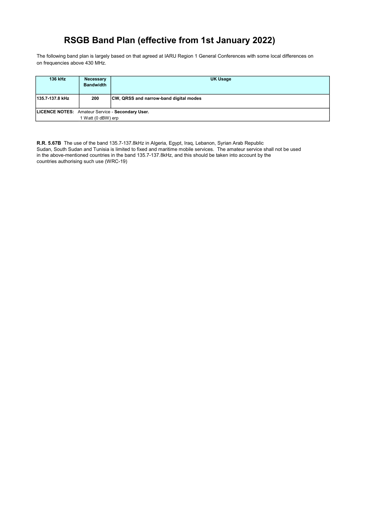The following band plan is largely based on that agreed at IARU Region 1 General Conferences with some local differences on on frequencies above 430 MHz.

| 136 kHz                                          | <b>Necessary</b><br><b>Bandwidth</b> | UK Usage                               |
|--------------------------------------------------|--------------------------------------|----------------------------------------|
| 135.7-137.8 kHz                                  | 200                                  | CW, QRSS and narrow-band digital modes |
| LICENCE NOTES: Amateur Service - Secondary User. |                                      |                                        |
|                                                  | I Watt (0 dBW) erp                   |                                        |

R.R. 5.67B The use of the band 135.7-137.8kHz in Algeria, Egypt, Iraq, Lebanon, Syrian Arab Republic Sudan, South Sudan and Tunisia is limited to fixed and maritime mobile services. The amateur service shall not be used in the above-mentioned countries in the band 135.7-137.8kHz, and this should be taken into account by the countries authorising such use (WRC-19)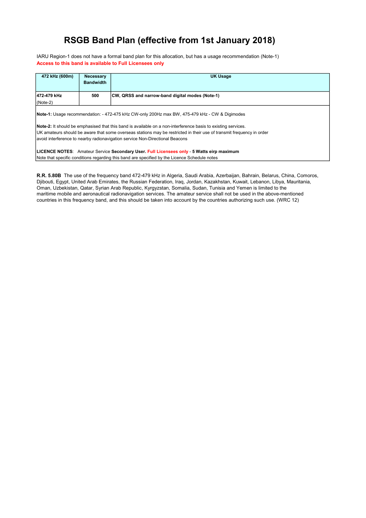IARU Region-1 does not have a formal band plan for this allocation, but has a usage recommendation (Note-1) Access to this band is available to Full Licensees only

| 472 kHz (600m)                                                                                                                                                                                                  | <b>Necessary</b><br><b>Bandwidth</b> | <b>UK Usage</b>                                 |
|-----------------------------------------------------------------------------------------------------------------------------------------------------------------------------------------------------------------|--------------------------------------|-------------------------------------------------|
| 472-479 kHz                                                                                                                                                                                                     | 500                                  | CW, QRSS and narrow-band digital modes (Note-1) |
| $(Note-2)$                                                                                                                                                                                                      |                                      |                                                 |
| Note-1: Usage recommendation: - 472-475 kHz CW-only 200Hz max BW, 475-479 kHz - CW & Digimodes<br>Note-2: It should be emphasised that this band is available on a non-interference basis to existing services. |                                      |                                                 |
| UK amateurs should be aware that some overseas stations may be restricted in their use of transmit frequency in order                                                                                           |                                      |                                                 |
| avoid interference to nearby radionavigation service Non-Directional Beacons                                                                                                                                    |                                      |                                                 |
| LICENCE NOTES: Amateur Service Secondary User. Full Licensees only - 5 Watts eirp maximum<br>Note that specific conditions regarding this band are specified by the Licence Schedule notes                      |                                      |                                                 |

R.R. 5.80B The use of the frequency band 472-479 kHz in Algeria, Saudi Arabia, Azerbaijan, Bahrain, Belarus, China, Comoros, Djibouti, Egypt, United Arab Emirates, the Russian Federation, Iraq, Jordan, Kazakhstan, Kuwait, Lebanon, Libya, Mauritania, Oman, Uzbekistan, Qatar, Syrian Arab Republic, Kyrgyzstan, Somalia, Sudan, Tunisia and Yemen is limited to the maritime mobile and aeronautical radionavigation services. The amateur service shall not be used in the above-mentioned countries in this frequency band, and this should be taken into account by the countries authorizing such use. (WRC 12)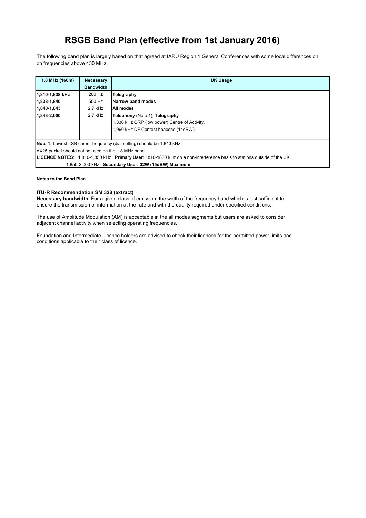The following band plan is largely based on that agreed at IARU Region 1 General Conferences with some local differences on on frequencies above 430 MHz.

| 1.8 MHz (160m)                                                                  | <b>Necessary</b>                                                                                                      | <b>UK Usage</b>                               |  |
|---------------------------------------------------------------------------------|-----------------------------------------------------------------------------------------------------------------------|-----------------------------------------------|--|
|                                                                                 | <b>Bandwidth</b>                                                                                                      |                                               |  |
| 1,810-1,838 kHz                                                                 | 200 Hz                                                                                                                | Telegraphy                                    |  |
| 1,838-1,840                                                                     | 500 Hz                                                                                                                | Narrow band modes                             |  |
| 1.840-1.843                                                                     | 2.7 kHz                                                                                                               | All modes                                     |  |
| 1.843-2.000                                                                     | 2.7 kHz                                                                                                               | Telephony (Note 1), Telegraphy                |  |
|                                                                                 |                                                                                                                       | 1,836 kHz QRP (low power) Centre of Activity, |  |
|                                                                                 |                                                                                                                       | 1,960 kHz DF Contest beacons (14dBW)          |  |
|                                                                                 |                                                                                                                       |                                               |  |
| <b>Note 1:</b> Lowest LSB carrier frequency (dial setting) should be 1,843 kHz. |                                                                                                                       |                                               |  |
| AX25 packet should not be used on the 1.8 MHz band.                             |                                                                                                                       |                                               |  |
|                                                                                 | LICENCE NOTES: 1,810-1,850 kHz Primary User: 1810-1830 kHz on a non-interference basis to stations outside of the UK. |                                               |  |
| 1,850-2,000 kHz Secondary User: 32W (15dBW) Maximum                             |                                                                                                                       |                                               |  |

#### Notes to the Band Plan

### ITU-R Recommendation SM.328 (extract)

Necessary bandwidth: For a given class of emission, the width of the frequency band which is just sufficient to ensure the transmission of information at the rate and with the quality required under specified conditions.

The use of Amplitude Modulation (AM) is acceptable in the all modes segments but users are asked to consider adjacent channel activity when selecting operating frequencies.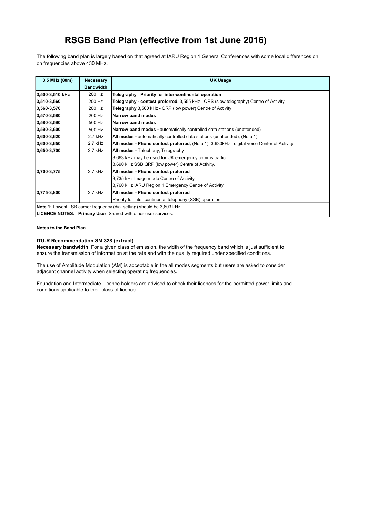The following band plan is largely based on that agreed at IARU Region 1 General Conferences with some local differences on on frequencies above 430 MHz.

| 3.5 MHz (80m)                                                 | <b>Necessary</b> | <b>UK Usage</b>                                                                            |
|---------------------------------------------------------------|------------------|--------------------------------------------------------------------------------------------|
|                                                               | <b>Bandwidth</b> |                                                                                            |
| 3,500-3,510 kHz                                               | 200 Hz           | Telegraphy - Priority for inter-continental operation                                      |
| 3,510-3,560                                                   | 200 Hz           | Telegraphy - contest preferred. 3,555 kHz - QRS (slow telegraphy) Centre of Activity       |
| $ 3,560-3,570 $                                               | 200 Hz           | Telegraphy 3,560 kHz - QRP (low power) Centre of Activity                                  |
| 3,570-3,580                                                   | 200 Hz           | Narrow band modes                                                                          |
| 3,580-3,590                                                   | 500 Hz           | Narrow band modes                                                                          |
| 3,590-3,600                                                   | 500 Hz           | <b>Narrow band modes - automatically controlled data stations (unattended)</b>             |
| 3,600-3,620                                                   | $2.7$ kHz        | All modes - automatically controlled data stations (unattended), (Note 1)                  |
| 3,600-3,650                                                   | $2.7$ kHz        | All modes - Phone contest preferred, (Note 1). 3,630kHz - digital voice Center of Activity |
| 3,650-3,700                                                   | $2.7$ kHz        | All modes - Telephony, Telegraphy                                                          |
|                                                               |                  | 3,663 kHz may be used for UK emergency comms traffic.                                      |
|                                                               |                  | 3,690 kHz SSB QRP (low power) Centre of Activity.                                          |
| 3,700-3,775                                                   | $2.7$ kHz        | All modes - Phone contest preferred                                                        |
|                                                               |                  | 3,735 kHz Image mode Centre of Activity                                                    |
|                                                               |                  | 3,760 kHz IARU Region 1 Emergency Centre of Activity                                       |
| 3,775-3,800                                                   | $2.7$ kHz        | All modes - Phone contest preferred                                                        |
|                                                               |                  | Priority for inter-continental telephony (SSB) operation                                   |
|                                                               |                  | <b>Note 1:</b> Lowest LSB carrier frequency (dial setting) should be 3,603 kHz.            |
| LICENCE NOTES: Primary User: Shared with other user services: |                  |                                                                                            |

#### Notes to the Band Plan

### ITU-R Recommendation SM.328 (extract)

Necessary bandwidth: For a given class of emission, the width of the frequency band which is just sufficient to ensure the transmission of information at the rate and with the quality required under specified conditions.

The use of Amplitude Modulation (AM) is acceptable in the all modes segments but users are asked to consider adjacent channel activity when selecting operating frequencies.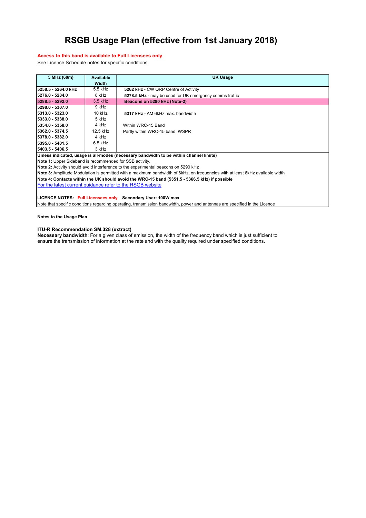#### Access to this band is available to Full Licensees only

See Licence Schedule notes for specific conditions

| 5 MHz (60m)                                                                        | <b>Available</b>                                                                                                              | <b>UK Usage</b>                                                                        |  |
|------------------------------------------------------------------------------------|-------------------------------------------------------------------------------------------------------------------------------|----------------------------------------------------------------------------------------|--|
|                                                                                    | Width                                                                                                                         |                                                                                        |  |
| 5258.5 - 5264.0 kHz                                                                | 5.5 kHz                                                                                                                       | 5262 kHz - CW QRP Centre of Activity                                                   |  |
| 5276.0 - 5284.0                                                                    | 8 kHz                                                                                                                         | 5278.5 kHz - may be used for UK emergency comms traffic                                |  |
| 5288.5 - 5292.0                                                                    | $3.5$ kHz                                                                                                                     | Beacons on 5290 kHz (Note-2)                                                           |  |
| 5298.0 - 5307.0                                                                    | 9 kHz                                                                                                                         |                                                                                        |  |
| 5313.0 - 5323.0                                                                    | 10 kHz                                                                                                                        | 5317 kHz - AM 6kHz max, bandwidth                                                      |  |
| 15333.0 - 5338.0                                                                   | 5 kHz                                                                                                                         |                                                                                        |  |
| 5354.0 - 5358.0                                                                    | 4 kHz                                                                                                                         | Within WRC-15 Band                                                                     |  |
| 5362.0 - 5374.5                                                                    | 12.5 kHz                                                                                                                      | Partly within WRC-15 band, WSPR                                                        |  |
| 15378.0 - 5382.0                                                                   | 4 kHz                                                                                                                         |                                                                                        |  |
| 5395.0 - 5401.5                                                                    | $6.5$ kHz                                                                                                                     |                                                                                        |  |
| 5403.5 - 5406.5                                                                    | 3 kHz                                                                                                                         |                                                                                        |  |
|                                                                                    |                                                                                                                               | Unless indicated, usage is all-modes (necessary bandwidth to be within channel limits) |  |
| <b>Note 1:</b> Upper Sideband is recommended for SSB activity.                     |                                                                                                                               |                                                                                        |  |
| Note 2: Activity should avoid interference to the experimental beacons on 5290 kHz |                                                                                                                               |                                                                                        |  |
|                                                                                    | Note 3: Amplitude Modulation is permitted with a maximum bandwidth of 6kHz, on frequencies with at least 6kHz available width |                                                                                        |  |

Note 4: Contacts within the UK should avoid the WRC-15 band (5351.5 - 5366.5 kHz) if possible

For the latest current guidance refer to the RSGB website

LICENCE NOTES: Full Licensees only Secondary User: 100W max

Note that specific conditions regarding operating, transmission bandwidth, power and antennas are specified in the Licence

Notes to the Usage Plan

#### ITU-R Recommendation SM.328 (extract)

Necessary bandwidth: For a given class of emission, the width of the frequency band which is just sufficient to ensure the transmission of information at the rate and with the quality required under specified conditions.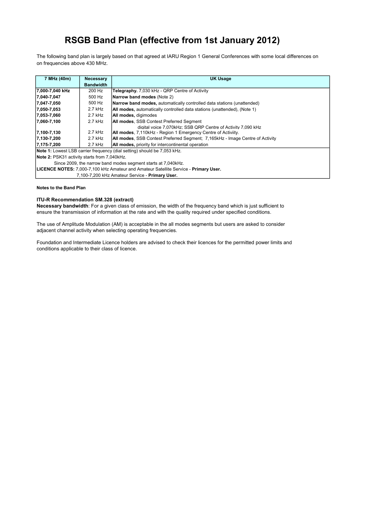The following band plan is largely based on that agreed at IARU Region 1 General Conferences with some local differences on on frequencies above 430 MHz.

| 7 MHz (40m)                                                                          | <b>Necessary</b>                                | <b>UK Usage</b>                                                                      |  |
|--------------------------------------------------------------------------------------|-------------------------------------------------|--------------------------------------------------------------------------------------|--|
|                                                                                      | <b>Bandwidth</b>                                |                                                                                      |  |
| 7,000-7,040 kHz                                                                      | 200 Hz                                          | Telegraphy. 7,030 kHz - QRP Centre of Activity                                       |  |
| 7,040-7,047                                                                          | 500 Hz                                          | Narrow band modes (Note 2)                                                           |  |
| 7,047-7,050                                                                          | 500 Hz                                          | Narrow band modes, automatically controlled data stations (unattended)               |  |
| $ 7,050-7,053 $                                                                      | 2.7 kHz                                         | <b>All modes,</b> automatically controlled data stations (unattended), (Note 1)      |  |
| 17,053-7,060                                                                         | 2.7 kHz                                         | All modes, digimodes                                                                 |  |
| 7,060-7,100                                                                          | $2.7$ kHz                                       | All modes, SSB Contest Preferred Segment                                             |  |
|                                                                                      |                                                 | digital voice 7.070kHz: SSB ORP Centre of Activity 7.090 kHz                         |  |
| 7,100-7,130                                                                          | 2.7 kHz                                         | <b>All modes, 7,110kHz - Region 1 Emergency Centre of Activiity.</b>                 |  |
| $ 7,130-7,200$                                                                       | 2.7 kHz                                         | <b>All modes, SSB Contest Preferred Segment; 7,165kHz - Image Centre of Activity</b> |  |
| $ 7,175-7,200$                                                                       | 2.7 kHz                                         | <b>All modes, priority for intercontinental operation</b>                            |  |
| <b>Note 1:</b> Lowest LSB carrier frequency (dial setting) should be 7,053 kHz.      |                                                 |                                                                                      |  |
| Note 2: PSK31 activity starts from 7,040kHz.                                         |                                                 |                                                                                      |  |
| Since 2009, the narrow band modes segment starts at 7,040kHz.                        |                                                 |                                                                                      |  |
| LICENCE NOTES: 7,000-7,100 kHz Amateur and Amateur Satellite Service - Primary User. |                                                 |                                                                                      |  |
|                                                                                      | 7,100-7,200 kHz Amateur Service - Primary User. |                                                                                      |  |

#### Notes to the Band Plan

### ITU-R Recommendation SM.328 (extract)

Necessary bandwidth: For a given class of emission, the width of the frequency band which is just sufficient to ensure the transmission of information at the rate and with the quality required under specified conditions.

The use of Amplitude Modulation (AM) is acceptable in the all modes segments but users are asked to consider adjacent channel activity when selecting operating frequencies.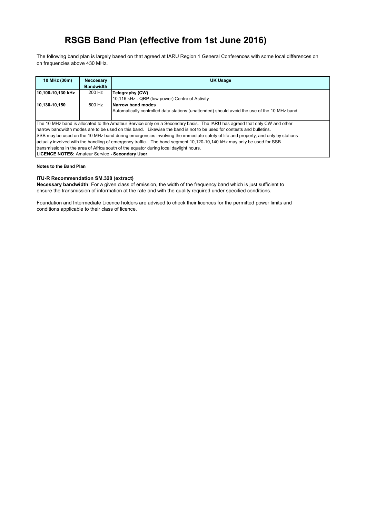The following band plan is largely based on that agreed at IARU Region 1 General Conferences with some local differences on on frequencies above 430 MHz.

| 10 MHz (30m)                                                                                                                    | <b>Neccesary</b><br><b>Bandwidth</b> | <b>UK Usage</b>                                                                             |  |
|---------------------------------------------------------------------------------------------------------------------------------|--------------------------------------|---------------------------------------------------------------------------------------------|--|
| 10,100-10,130 kHz                                                                                                               | 200 Hz                               | Telegraphy (CW)                                                                             |  |
|                                                                                                                                 |                                      | 10,116 kHz - QRP (low power) Centre of Activity                                             |  |
| 10,130-10,150                                                                                                                   | 500 Hz                               | Narrow band modes                                                                           |  |
|                                                                                                                                 |                                      | Automatically controlled data stations (unattended) should avoid the use of the 10 MHz band |  |
|                                                                                                                                 |                                      |                                                                                             |  |
| The 10 MHz band is allocated to the Amateur Service only on a Secondary basis. The IARU has agreed that only CW and other       |                                      |                                                                                             |  |
| Inarrow bandwidth modes are to be used on this band. Likewise the band is not to be used for contests and bulletins.            |                                      |                                                                                             |  |
| SSB may be used on the 10 MHz band during emergencies involving the immediate safety of life and property, and only by stations |                                      |                                                                                             |  |
| actually involved with the handling of emergency traffic. The band segment 10,120-10,140 kHz may only be used for SSB           |                                      |                                                                                             |  |
| transmissions in the area of Africa south of the equator during local daylight hours.                                           |                                      |                                                                                             |  |
| LICENCE NOTES: Amateur Service - Secondary User.                                                                                |                                      |                                                                                             |  |

#### Notes to the Band Plan

### ITU-R Recommendation SM.328 (extract)

Necessary bandwidth: For a given class of emission, the width of the frequency band which is just sufficient to ensure the transmission of information at the rate and with the quality required under specified conditions.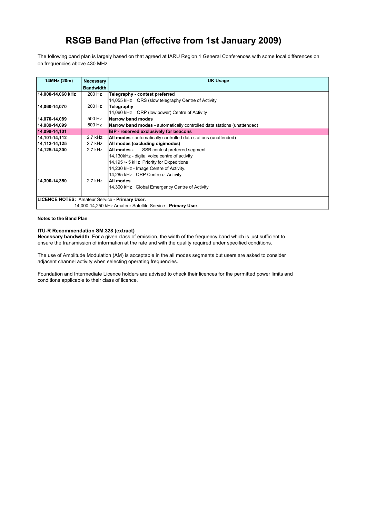The following band plan is largely based on that agreed at IARU Region 1 General Conferences with some local differences on on frequencies above 430 MHz.

| 14MHz (20m)                                           | Necessary                                                   | <b>UK Usage</b>                                                                |  |
|-------------------------------------------------------|-------------------------------------------------------------|--------------------------------------------------------------------------------|--|
|                                                       | <b>Bandwidth</b>                                            |                                                                                |  |
| 14,000-14,060 kHz                                     | 200 Hz                                                      | Telegraphy - contest preferred                                                 |  |
|                                                       |                                                             | 14,055 kHz QRS (slow telegraphy Centre of Activity                             |  |
| 14,060-14,070                                         | 200 Hz                                                      | Telegraphy                                                                     |  |
|                                                       |                                                             | 14,060 kHz QRP (low power) Centre of Activity                                  |  |
| 14,070-14,089                                         | 500 Hz                                                      | Narrow band modes                                                              |  |
| 14,089-14,099                                         | 500 Hz                                                      | <b>Narrow band modes - automatically controlled data stations (unattended)</b> |  |
| 14,099-14,101                                         |                                                             | <b>IBP</b> - reserved exclusively for beacons                                  |  |
| 14,101-14,112                                         | $2.7$ kHz                                                   | <b>All modes</b> - automatically controlled data stations (unattended)         |  |
| 14,112-14,125                                         | 2.7 kHz                                                     | All modes (excluding digimodes)                                                |  |
| 14,125-14,300                                         | 2.7 kHz                                                     | <b>All modes -</b> SSB contest preferred segment                               |  |
|                                                       |                                                             | 14,130kHz - digital voice centre of activity                                   |  |
|                                                       |                                                             | 14,195+- 5 kHz Priority for Dxpeditions                                        |  |
|                                                       |                                                             | 14,230 kHz - Image Centre of Activity.                                         |  |
|                                                       |                                                             | 14,285 kHz - QRP Centre of Activity                                            |  |
| 14.300-14.350                                         | 2.7 kHz                                                     | All modes                                                                      |  |
|                                                       |                                                             | 14,300 kHz Global Emergency Centre of Activity                                 |  |
|                                                       |                                                             |                                                                                |  |
| <b>LICENCE NOTES: Amateur Service - Primary User.</b> |                                                             |                                                                                |  |
|                                                       | 14,000-14,250 kHz Amateur Satellite Service - Primary User. |                                                                                |  |

Notes to the Band Plan

### ITU-R Recommendation SM.328 (extract)

Necessary bandwidth: For a given class of emission, the width of the frequency band which is just sufficient to ensure the transmission of information at the rate and with the quality required under specified conditions.

The use of Amplitude Modulation (AM) is acceptable in the all modes segments but users are asked to consider adjacent channel activity when selecting operating frequencies.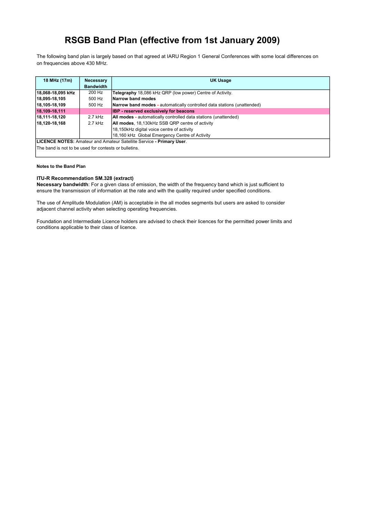The following band plan is largely based on that agreed at IARU Region 1 General Conferences with some local differences on on frequencies above 430 MHz.

| 18 MHz (17m)                                                                | <b>Necessary</b><br><b>Bandwidth</b> | <b>UK Usage</b>                                                         |
|-----------------------------------------------------------------------------|--------------------------------------|-------------------------------------------------------------------------|
|                                                                             |                                      |                                                                         |
| 18,068-18,095 kHz                                                           | 200 Hz                               | Telegraphy 18,086 kHz QRP (low power) Centre of Activity.               |
| 18,095-18,105                                                               | 500 Hz                               | Narrow band modes                                                       |
| 18,105-18,109                                                               | 500 Hz                               | Narrow band modes - automatically controlled data stations (unattended) |
| 18,109-18,111                                                               |                                      | <b>IBP</b> - reserved exclusively for beacons                           |
| 18,111-18,120                                                               | 2.7 kHz                              | All modes - automatically controlled data stations (unattended)         |
| 18.120-18.168                                                               | $2.7$ kHz                            | All modes, 18,130kHz SSB QRP centre of activity                         |
|                                                                             |                                      | 18,150kHz digital voice centre of activity                              |
|                                                                             |                                      | 18,160 kHz Global Emergency Centre of Activity                          |
| <b>LICENCE NOTES: Amateur and Amateur Satellite Service - Primary User.</b> |                                      |                                                                         |
| The band is not to be used for contests or bulletins.                       |                                      |                                                                         |

#### Notes to the Band Plan

### ITU-R Recommendation SM.328 (extract)

Necessary bandwidth: For a given class of emission, the width of the frequency band which is just sufficient to ensure the transmission of information at the rate and with the quality required under specified conditions.

The use of Amplitude Modulation (AM) is acceptable in the all modes segments but users are asked to consider adjacent channel activity when selecting operating frequencies.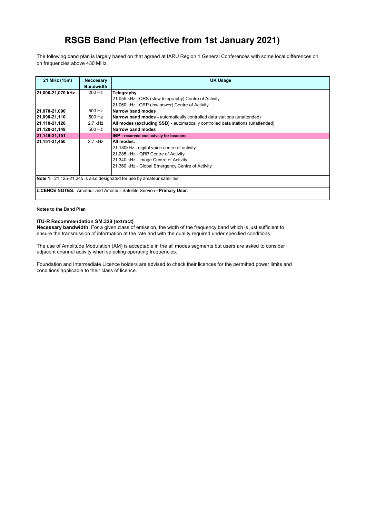The following band plan is largely based on that agreed at IARU Region 1 General Conferences with some local differences on on frequencies above 430 MHz.

| 21 MHz (15m)      | <b>Neccesary</b><br><b>Bandwidth</b> | <b>UK Usage</b>                                                                 |
|-------------------|--------------------------------------|---------------------------------------------------------------------------------|
| 21,000-21,070 kHz | 200 Hz                               | Telegraphy                                                                      |
|                   |                                      | 21,055 kHz QRS (slow telegraphy) Centre of Activity.                            |
|                   |                                      | 21,060 kHz QRP (low power) Centre of Activity                                   |
| 21,070-21,090     | 500 Hz                               | Narrow band modes                                                               |
| 21,090-21,110     | 500 Hz                               | <b>Narrow band modes -</b> automatically controlled data stations (unattended)  |
| 21,110-21,120     | 2.7 kHz                              | All modes (excluding SSB) - automatically controlled data stations (unattended) |
| 21,120-21,149     | 500 Hz                               | Narrow band modes                                                               |
| 21, 149-21, 151   |                                      | <b>IBP</b> - reserved exclusively for beacons                                   |
| 21,151-21,450     | $2.7$ kHz                            | All modes.                                                                      |
|                   |                                      | 21,180kHz - digital voice centre of activity                                    |
|                   |                                      | 21,285 kHz - QRP Centre of Activity.                                            |
|                   |                                      | 21,340 kHz - Image Centre of Activity.                                          |
|                   |                                      | 21,360 kHz - Global Emergency Centre of Activity                                |
|                   |                                      |                                                                                 |
|                   |                                      | Note 1: 21,125-21,245 is also designated for use by amateur satellites          |
|                   |                                      | LICENCE NOTES: Amateur and Amateur Satellite Service - Primary User.            |

#### Notes to the Band Plan

### ITU-R Recommendation SM.328 (extract)

Necessary bandwidth: For a given class of emission, the width of the frequency band which is just sufficient to ensure the transmission of information at the rate and with the quality required under specified conditions.

The use of Amplitude Modulation (AM) is acceptable in the all modes segments but users are asked to consider adjacent channel activity when selecting operating frequencies.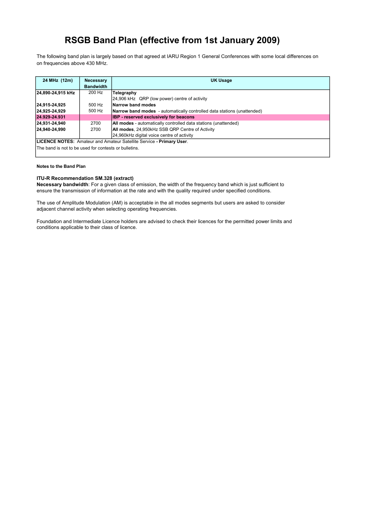The following band plan is largely based on that agreed at IARU Region 1 General Conferences with some local differences on on frequencies above 430 MHz.

| 24 MHz (12m)                                                         | <b>Necessary</b><br><b>Bandwidth</b> | <b>UK Usage</b>                                                         |
|----------------------------------------------------------------------|--------------------------------------|-------------------------------------------------------------------------|
| 24,890-24,915 kHz                                                    | 200 Hz                               | Telegraphy                                                              |
|                                                                      |                                      | 24,906 kHz QRP (low power) centre of activity                           |
| 24,915-24,925                                                        | 500 Hz                               | Narrow band modes                                                       |
| 24,925-24,929                                                        | 500 Hz                               | Narrow band modes - automatically controlled data stations (unattended) |
| 24.929-24.931                                                        |                                      | <b>IBP</b> - reserved exclusively for beacons                           |
| 24.931-24.940                                                        | 2700                                 | All modes - automatically controlled data stations (unattended)         |
| 24.940-24.990                                                        | 2700                                 | All modes, 24,950kHz SSB QRP Centre of Activity                         |
|                                                                      |                                      | 24,960kHz digital voice centre of activity                              |
| LICENCE NOTES: Amateur and Amateur Satellite Service - Primary User. |                                      |                                                                         |
| The band is not to be used for contests or bulletins.                |                                      |                                                                         |

#### Notes to the Band Plan

### ITU-R Recommendation SM.328 (extract)

Necessary bandwidth: For a given class of emission, the width of the frequency band which is just sufficient to ensure the transmission of information at the rate and with the quality required under specified conditions.

The use of Amplitude Modulation (AM) is acceptable in the all modes segments but users are asked to consider adjacent channel activity when selecting operating frequencies.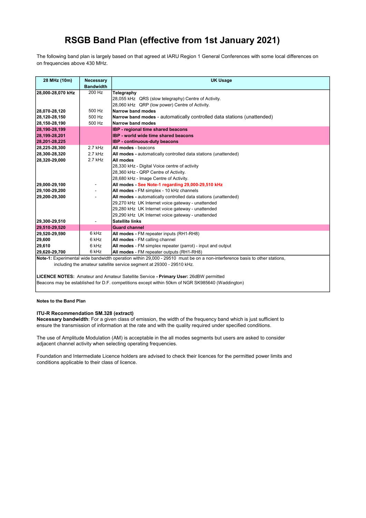The following band plan is largely based on that agreed at IARU Region 1 General Conferences with some local differences on on frequencies above 430 MHz.

| 28 MHz (10m)                                                          | <b>Necessary</b> | <b>UK Usage</b>                                                                                                            |
|-----------------------------------------------------------------------|------------------|----------------------------------------------------------------------------------------------------------------------------|
|                                                                       | <b>Bandwidth</b> |                                                                                                                            |
| 28,000-28,070 kHz                                                     | 200 Hz           | Telegraphy                                                                                                                 |
|                                                                       |                  | 28,055 kHz QRS (slow telegraphy) Centre of Activity.                                                                       |
|                                                                       |                  | 28,060 kHz QRP (low power) Centre of Activity.                                                                             |
| 28,070-28,120                                                         | 500 Hz           | Narrow band modes                                                                                                          |
| 28,120-28,150                                                         | 500 Hz           | Narrow band modes - automatically controlled data stations (unattended)                                                    |
| 28,150-28,190                                                         | 500 Hz           | Narrow band modes                                                                                                          |
| 28,190-28,199                                                         |                  | IBP - regional time shared beacons                                                                                         |
| 28,199-28,201                                                         |                  | <b>IBP</b> - world wide time shared beacons                                                                                |
| 28,201-28,225                                                         |                  | <b>IBP</b> - continuous-duty beacons                                                                                       |
| 28,225-28,300                                                         | $2.7$ kHz        | All modes - beacons                                                                                                        |
| 28,300-28,320                                                         | 2.7 kHz          | All modes - automatically controlled data stations (unattended)                                                            |
| 28,320-29,000                                                         | 2.7 kHz          | All modes                                                                                                                  |
|                                                                       |                  | 28,330 kHz - Digital Voice centre of activity                                                                              |
|                                                                       |                  | 28,360 kHz - QRP Centre of Activity.                                                                                       |
|                                                                       |                  | 28,680 kHz - Image Centre of Activity.                                                                                     |
| 29,000-29,100                                                         |                  | All modes - See Note-1 regarding 29,000-29,510 kHz                                                                         |
| 29,100-29,200                                                         |                  | All modes - FM simplex - 10 kHz channels                                                                                   |
| 29,200-29,300                                                         |                  | All modes - automatically controlled data stations (unattended)                                                            |
|                                                                       |                  | 29,270 kHz UK Internet voice gateway - unattended                                                                          |
|                                                                       |                  | 29,280 kHz UK Internet voice gateway - unattended                                                                          |
|                                                                       |                  | 29,290 kHz UK Internet voice gateway - unattended                                                                          |
| 29,300-29,510                                                         |                  | <b>Satellite links</b>                                                                                                     |
| 29,510-29,520                                                         |                  | <b>Guard channel</b>                                                                                                       |
| 29,520-29,590                                                         | 6 kHz            | All modes - FM repeater inputs (RH1-RH8)                                                                                   |
| 29,600                                                                | 6 kHz            | All modes - FM calling channel                                                                                             |
| 29,610                                                                | 6 kHz            | All modes - FM simplex repeater (parrot) - input and output                                                                |
| 29,620-29,700                                                         | 6 kHz            | All modes - FM repeater outputs (RH1-RH8)                                                                                  |
|                                                                       |                  | Note-1: Experimental wide bandwidth operation within 29,000 - 29510 must be on a non-interference basis to other stations, |
| including the amateur satellite service segment at 29300 - 29510 kHz. |                  |                                                                                                                            |
|                                                                       |                  |                                                                                                                            |

LICENCE NOTES: Amateur and Amateur Satellite Service - Primary User: 26dBW permitted Beacons may be established for D.F. competitions except within 50km of NGR SK985640 (Waddington)

### Notes to the Band Plan

### ITU-R Recommendation SM.328 (extract)

Necessary bandwidth: For a given class of emission, the width of the frequency band which is just sufficient to ensure the transmission of information at the rate and with the quality required under specified conditions.

The use of Amplitude Modulation (AM) is acceptable in the all modes segments but users are asked to consider adjacent channel activity when selecting operating frequencies.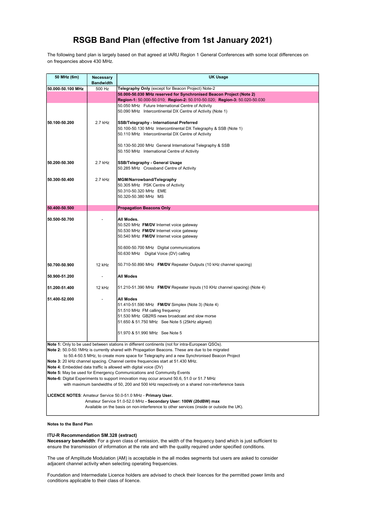The following band plan is largely based on that agreed at IARU Region 1 General Conferences with some local differences on on frequencies above 430 MHz.

| 50 MHz (6m)                                                                                                                                                  | Necessary<br><b>Bandwidth</b> | UK Usage                                                                                                                                                                       |
|--------------------------------------------------------------------------------------------------------------------------------------------------------------|-------------------------------|--------------------------------------------------------------------------------------------------------------------------------------------------------------------------------|
| 50.000-50.100 MHz                                                                                                                                            | 500 Hz                        | Telegraphy Only (except for Beacon Project) Note-2                                                                                                                             |
|                                                                                                                                                              |                               | 50.000-50.030 MHz reserved for Synchronised Beacon Project (Note 2)                                                                                                            |
|                                                                                                                                                              |                               | Region-1: 50.000-50.010; Region-2: 50.010-50.020; Region-3: 50.020-50.030                                                                                                      |
|                                                                                                                                                              |                               | 50.050 MHz Future International Centre of Activity                                                                                                                             |
|                                                                                                                                                              |                               | 50.090 MHz Intercontinental DX Centre of Activity (Note 1)                                                                                                                     |
| 50.100-50.200                                                                                                                                                | 2.7 kHz                       | SSB/Telegraphy - International Preferred                                                                                                                                       |
|                                                                                                                                                              |                               | 50.100-50.130 MHz Intercontinental DX Telegraphy & SSB (Note 1)                                                                                                                |
|                                                                                                                                                              |                               | 50.110 MHz Intercontinental DX Centre of Activity                                                                                                                              |
|                                                                                                                                                              |                               |                                                                                                                                                                                |
|                                                                                                                                                              |                               | 50.130-50.200 MHz General International Telegraphy & SSB                                                                                                                       |
|                                                                                                                                                              |                               | 50.150 MHz International Centre of Activity                                                                                                                                    |
|                                                                                                                                                              |                               |                                                                                                                                                                                |
| 50.200-50.300                                                                                                                                                | 2.7 kHz                       | <b>SSB/Telegraphy - General Usage</b><br>50.285 MHz Crossband Centre of Activity                                                                                               |
|                                                                                                                                                              |                               |                                                                                                                                                                                |
| 50.300-50.400                                                                                                                                                | 2.7 kHz                       | MGM/Narrowband/Telegraphy                                                                                                                                                      |
|                                                                                                                                                              |                               | 50.305 MHz PSK Centre of Activity                                                                                                                                              |
|                                                                                                                                                              |                               | 50.310-50.320 MHz EME                                                                                                                                                          |
|                                                                                                                                                              |                               | 50.320-50.380 MHz MS                                                                                                                                                           |
| 50.400-50.500                                                                                                                                                |                               | <b>Propagation Beacons Only</b>                                                                                                                                                |
|                                                                                                                                                              |                               |                                                                                                                                                                                |
| 50.500-50.700                                                                                                                                                |                               | All Modes.                                                                                                                                                                     |
|                                                                                                                                                              |                               | 50.520 MHz FM/DV Internet voice gateway                                                                                                                                        |
|                                                                                                                                                              |                               | 50.530 MHz FM/DV Internet voice gateway                                                                                                                                        |
|                                                                                                                                                              |                               | 50.540 MHz FM/DV Internet voice gateway                                                                                                                                        |
|                                                                                                                                                              |                               | 50.600-50.700 MHz Digital communications                                                                                                                                       |
|                                                                                                                                                              |                               | 50.630 MHz Digital Voice (DV) calling                                                                                                                                          |
|                                                                                                                                                              |                               |                                                                                                                                                                                |
| 50.700-50.900                                                                                                                                                | 12 kHz                        | 50.710-50.890 MHz FM/DV Repeater Outputs (10 kHz channel spacing)                                                                                                              |
| 50.900-51.200                                                                                                                                                | $\overline{\phantom{a}}$      | <b>All Modes</b>                                                                                                                                                               |
|                                                                                                                                                              |                               |                                                                                                                                                                                |
| 51.200-51.400                                                                                                                                                | 12 kHz                        | 51.210-51.390 MHz FM/DV Repeater Inputs (10 KHz channel spacing) (Note 4)                                                                                                      |
| 51.400-52.000                                                                                                                                                |                               | <b>All Modes</b>                                                                                                                                                               |
|                                                                                                                                                              |                               | 51.410-51.590 MHz FM/DV Simplex (Note 3) (Note 4)                                                                                                                              |
|                                                                                                                                                              |                               | 51.510 MHz FM calling frequency                                                                                                                                                |
|                                                                                                                                                              |                               | 51.530 MHz GB2RS news broadcast and slow morse                                                                                                                                 |
|                                                                                                                                                              |                               | 51.650 & 51.750 MHz See Note 5 (25kHz aligned)                                                                                                                                 |
|                                                                                                                                                              |                               | 51.970 & 51.990 MHz See Note 5                                                                                                                                                 |
|                                                                                                                                                              |                               |                                                                                                                                                                                |
|                                                                                                                                                              |                               | Note 1: Only to be used between stations in different continents (not for intra-European QSOs).                                                                                |
|                                                                                                                                                              |                               | Note 2: 50.0-50.1MHz is currently shared with Propagation Beacons. These are due to be migrated                                                                                |
|                                                                                                                                                              |                               | to 50.4-50.5 MHz, to create more space for Telegraphy and a new Synchronised Beacon Project<br>Note 3: 20 kHz channel spacing. Channel centre frequencies start at 51.430 MHz. |
|                                                                                                                                                              |                               | Note 4: Embedded data traffic is allowed with digital voice (DV)                                                                                                               |
|                                                                                                                                                              |                               | Note 5: May be used for Emergency Communications and Community Events                                                                                                          |
|                                                                                                                                                              |                               | Note-6: Digital Experiments to support innovation may occur around 50.6, 51.0 or 51.7 MHz                                                                                      |
|                                                                                                                                                              |                               | with maximum bandwidths of 50, 200 and 500 kHz respectively on a shared non-interference basis                                                                                 |
|                                                                                                                                                              |                               |                                                                                                                                                                                |
| LICENCE NOTES: Amateur Service 50.0-51.0 MHz - Primary User.                                                                                                 |                               |                                                                                                                                                                                |
| Amateur Service 51.0-52.0 MHz - Secondary User: 100W (20dBW) max<br>Available on the basis on non-interference to other services (inside or outside the UK). |                               |                                                                                                                                                                                |
|                                                                                                                                                              |                               |                                                                                                                                                                                |

#### Notes to the Band Plan

#### ITU-R Recommendation SM.328 (extract)

Necessary bandwidth: For a given class of emission, the width of the frequency band which is just sufficient to ensure the transmission of information at the rate and with the quality required under specified conditions.

The use of Amplitude Modulation (AM) is acceptable in the all modes segments but users are asked to consider adjacent channel activity when selecting operating frequencies.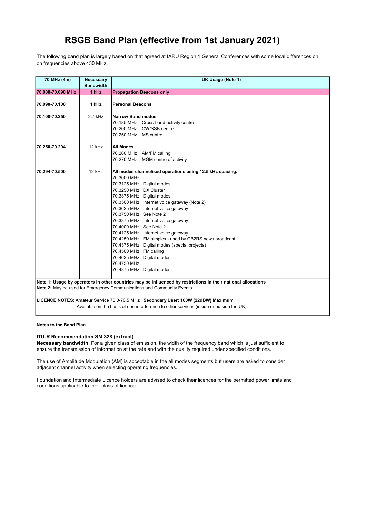The following band plan is largely based on that agreed at IARU Region 1 General Conferences with some local differences on on frequencies above 430 MHz.

| 70 MHz (4m)       | <b>Necessary</b><br><b>Bandwidth</b> | UK Usage (Note 1)                                                                                             |
|-------------------|--------------------------------------|---------------------------------------------------------------------------------------------------------------|
| 70.000-70.090 MHz | 1 kHz                                | <b>Propagation Beacons only</b>                                                                               |
|                   |                                      |                                                                                                               |
| 70.090-70.100     | 1 kHz                                | <b>Personal Beacons</b>                                                                                       |
| 70.100-70.250     | 2.7 kHz                              | <b>Narrow Band modes</b>                                                                                      |
|                   |                                      | 70.185 MHz Cross-band activity centre                                                                         |
|                   |                                      | 70.200 MHz CW/SSB centre                                                                                      |
|                   |                                      | 70.250 MHz MS centre                                                                                          |
| 70.250-70.294     | 12 kHz                               | <b>All Modes</b>                                                                                              |
|                   |                                      | 70.260 MHz AM/FM calling                                                                                      |
|                   |                                      | 70.270 MHz MGM centre of activity                                                                             |
| 70.294-70.500     | 12 kHz                               | All modes channelised operations using 12.5 kHz spacing.                                                      |
|                   |                                      | 70.3000 MHz                                                                                                   |
|                   |                                      | 70.3125 MHz Digital modes                                                                                     |
|                   |                                      | 70.3250 MHz DX Cluster                                                                                        |
|                   |                                      | 70.3375 MHz Digital modes                                                                                     |
|                   |                                      | 70.3500 MHz Internet voice gateway (Note 2)                                                                   |
|                   |                                      | 70.3625 MHz Internet voice gateway                                                                            |
|                   |                                      | 70.3750 MHz See Note 2                                                                                        |
|                   |                                      | 70.3875 MHz Internet voice gateway                                                                            |
|                   |                                      | 70.4000 MHz See Note 2                                                                                        |
|                   |                                      | 70.4125 MHz Internet voice gateway                                                                            |
|                   |                                      | 70.4250 MHz FM simplex - used by GB2RS news broadcast                                                         |
|                   |                                      | 70.4375 MHz Digital modes (special projects)                                                                  |
|                   |                                      | 70.4500 MHz FM calling                                                                                        |
|                   |                                      | 70.4625 MHz Digital modes                                                                                     |
|                   |                                      | 70.4750 MHz                                                                                                   |
|                   |                                      | 70.4875 MHz Digital modes                                                                                     |
|                   |                                      | Note 1: Usage by operators in other countries may be influenced by restrictions in their national allocations |
|                   |                                      | Note 2: May be used for Emergency Communications and Community Events                                         |
|                   |                                      |                                                                                                               |

LICENCE NOTES: Amateur Service 70.0-70.5 MHz Secondary User: 160W (22dBW) Maximum Available on the basis of non-interference to other services (inside or outside the UK).

Notes to the Band Plan

#### ITU-R Recommendation SM.328 (extract)

Necessary bandwidth: For a given class of emission, the width of the frequency band which is just sufficient to ensure the transmission of information at the rate and with the quality required under specified conditions.

The use of Amplitude Modulation (AM) is acceptable in the all modes segments but users are asked to consider adjacent channel activity when selecting operating frequencies.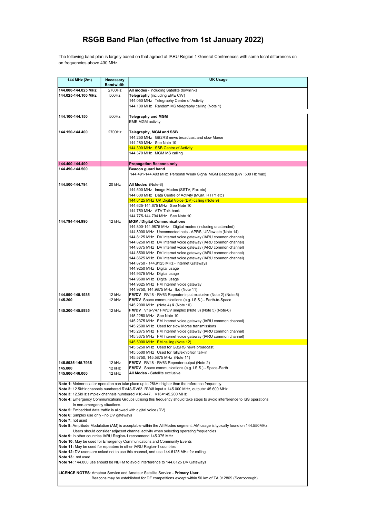The following band plan is largely based on that agreed at IARU Region 1 General Conferences with some local differences on on frequencies above 430 MHz.

| 144 MHz (2m)                                                        | Necessary                                                                                                                                                                                                        | <b>UK Usage</b>                                                                                                            |  |
|---------------------------------------------------------------------|------------------------------------------------------------------------------------------------------------------------------------------------------------------------------------------------------------------|----------------------------------------------------------------------------------------------------------------------------|--|
|                                                                     | <b>Bandwidth</b>                                                                                                                                                                                                 |                                                                                                                            |  |
| 144.000-144.025 MHz                                                 | 2700Hz                                                                                                                                                                                                           | All modes - including Satellite downlinks                                                                                  |  |
| 144.025-144.100 MHz                                                 | 500Hz                                                                                                                                                                                                            | Telegraphy (including EME CW)                                                                                              |  |
|                                                                     |                                                                                                                                                                                                                  | 144.050 MHz Telegraphy Centre of Activity                                                                                  |  |
|                                                                     |                                                                                                                                                                                                                  | 144.100 MHz Random MS telegraphy calling (Note 1)                                                                          |  |
| 144.100-144.150                                                     | 500Hz                                                                                                                                                                                                            | <b>Telegraphy and MGM</b>                                                                                                  |  |
|                                                                     |                                                                                                                                                                                                                  | <b>EME MGM activity</b>                                                                                                    |  |
|                                                                     |                                                                                                                                                                                                                  |                                                                                                                            |  |
| 144.150-144.400                                                     | 2700Hz                                                                                                                                                                                                           | Telegraphy, MGM and SSB                                                                                                    |  |
|                                                                     |                                                                                                                                                                                                                  | 144.250 MHz GB2RS news broadcast and slow Morse                                                                            |  |
|                                                                     |                                                                                                                                                                                                                  | 144.260 MHz See Note 10                                                                                                    |  |
|                                                                     |                                                                                                                                                                                                                  | 144.300 MHz SSB Centre of Activity                                                                                         |  |
|                                                                     |                                                                                                                                                                                                                  | 144.370 MHz MGM MS calling                                                                                                 |  |
|                                                                     |                                                                                                                                                                                                                  |                                                                                                                            |  |
| 144.400-144.490<br>144.490-144.500                                  |                                                                                                                                                                                                                  | <b>Propagation Beacons only</b><br>Beacon guard band                                                                       |  |
|                                                                     |                                                                                                                                                                                                                  | 144.491-144.493 MHz Personal Weak Signal MGM Beacons (BW: 500 Hz max)                                                      |  |
|                                                                     |                                                                                                                                                                                                                  |                                                                                                                            |  |
| 144.500-144.794                                                     | 20 kHz                                                                                                                                                                                                           | All Modes (Note-8)                                                                                                         |  |
|                                                                     |                                                                                                                                                                                                                  | 144.500 MHz Image Modes (SSTV, Fax etc)                                                                                    |  |
|                                                                     |                                                                                                                                                                                                                  | 144.600 MHz Data Centre of Activity (MGM, RTTY etc)                                                                        |  |
|                                                                     |                                                                                                                                                                                                                  | 144.6125 MHz UK Digital Voice (DV) calling (Note 9)                                                                        |  |
|                                                                     |                                                                                                                                                                                                                  | 144.625-144.675 MHz See Note 10                                                                                            |  |
|                                                                     |                                                                                                                                                                                                                  | 144.750 MHz ATV Talk-back                                                                                                  |  |
| 144.794-144.990                                                     | 12 kHz                                                                                                                                                                                                           | 144.775-144.794 MHz See Note 10<br><b>MGM / Digital Communications</b>                                                     |  |
|                                                                     |                                                                                                                                                                                                                  | 144.800-144.9875 MHz Digital modes (including unattended)                                                                  |  |
|                                                                     |                                                                                                                                                                                                                  | 144.8000 MHz Unconnected nets - APRS, UiView etc (Note 14)                                                                 |  |
|                                                                     |                                                                                                                                                                                                                  | 144.8125 MHz DV Internet voice gateway (IARU common channel)                                                               |  |
|                                                                     |                                                                                                                                                                                                                  | 144.8250 MHz DV Internet voice gateway (IARU common channel)                                                               |  |
|                                                                     |                                                                                                                                                                                                                  | 144.8375 MHz DV Internet voice gateway (IARU common channel)                                                               |  |
|                                                                     |                                                                                                                                                                                                                  | 144.8500 MHz DV Internet voice gateway (IARU common channel)                                                               |  |
|                                                                     |                                                                                                                                                                                                                  | 144.8625 MHz DV Internet voice gateway (IARU common channel)                                                               |  |
|                                                                     |                                                                                                                                                                                                                  | 144.8750 - 144.9125 MHz - Internet Gateways                                                                                |  |
|                                                                     |                                                                                                                                                                                                                  | 144.9250 MHz Digital usage<br>144.9375 MHz Digital usage                                                                   |  |
|                                                                     |                                                                                                                                                                                                                  | 144.9500 MHz Digital usage                                                                                                 |  |
|                                                                     |                                                                                                                                                                                                                  | 144.9625 MHz FM Internet voice gateway                                                                                     |  |
|                                                                     |                                                                                                                                                                                                                  | 144.9750, 144.9875 MHz tbd (Note 11)                                                                                       |  |
| 144.990-145.1935                                                    | 12 kHz                                                                                                                                                                                                           | <b>FM/DV</b> RV48 - RV63 Repeater input exclusive (Note 2) (Note 5)                                                        |  |
| 145.200                                                             | 12 kHz                                                                                                                                                                                                           | <b>FM/DV</b> Space communications (e.g. I.S.S.) - Earth-to-Space                                                           |  |
|                                                                     |                                                                                                                                                                                                                  | 145.2000 MHz (Note 4) & (Note 10)                                                                                          |  |
| 145.200-145.5935                                                    | 12 kHz                                                                                                                                                                                                           | FM/DV V16-V47 FM/DV simplex (Note 3) (Note 5) (Note-6)                                                                     |  |
|                                                                     |                                                                                                                                                                                                                  | 145.2250 MHz See Note 10                                                                                                   |  |
|                                                                     |                                                                                                                                                                                                                  | 145.2375 MHz FM Internet voice gateway (IARU common channel)<br>145.2500 MHz Used for slow Morse transmissions             |  |
|                                                                     |                                                                                                                                                                                                                  | 145.2875 MHz FM Internet voice gateway (IARU common channel)                                                               |  |
|                                                                     |                                                                                                                                                                                                                  | 145.3375 MHz FM Internet voice gateway (IARU common channel)                                                               |  |
|                                                                     |                                                                                                                                                                                                                  | 145.5000 MHz FM calling (Note 12)                                                                                          |  |
|                                                                     |                                                                                                                                                                                                                  | 145.5250 MHz Used for GB2RS news broadcast.                                                                                |  |
|                                                                     |                                                                                                                                                                                                                  | 145.5500 MHz Used for rally/exhibition talk-in                                                                             |  |
|                                                                     |                                                                                                                                                                                                                  | 145.5750, 145.5875 MHz (Note 11)                                                                                           |  |
| 145.5935-145.7935                                                   | 12 kHz<br>12 kHz                                                                                                                                                                                                 | FM/DV RV48 - RV63 Repeater output (Note 2)                                                                                 |  |
| 145.800<br>145.806-146.000                                          | 12 kHz                                                                                                                                                                                                           | <b>FM/DV</b> Space communications (e.g. I.S.S.) - Space-Earth<br>All Modes - Satellite exclusive                           |  |
|                                                                     |                                                                                                                                                                                                                  |                                                                                                                            |  |
|                                                                     |                                                                                                                                                                                                                  | Note 1: Meteor scatter operation can take place up to 26kHz higher than the reference frequency.                           |  |
|                                                                     |                                                                                                                                                                                                                  | Note 2: 12.5kHz channels numbered RV48-RV63. RV48 input = 145.000 MHz, output=145.600 MHz.                                 |  |
|                                                                     |                                                                                                                                                                                                                  | Note 3: 12.5kHz simplex channels numbered V16-V47. V16=145.200 MHz.                                                        |  |
|                                                                     |                                                                                                                                                                                                                  | Note 4: Emergency Communications Groups utilising this frequency should take steps to avoid interference to ISS operations |  |
| in non-emergency situations.                                        |                                                                                                                                                                                                                  |                                                                                                                            |  |
|                                                                     | Note 5: Embedded data traffic is allowed with digital voice (DV)                                                                                                                                                 |                                                                                                                            |  |
| Note 6: Simplex use only - no DV gateways<br>Note 7: not used       |                                                                                                                                                                                                                  |                                                                                                                            |  |
|                                                                     |                                                                                                                                                                                                                  |                                                                                                                            |  |
|                                                                     | Note 8: Amplitude Modulation (AM) is acceptable within the All Modes segment. AM usage is typically found on 144.550MHz.<br>Users should consider adjacent channel activity when selecting operating frequencies |                                                                                                                            |  |
|                                                                     | Note 9: In other countries IARU Region-1 recommend 145.375 MHz                                                                                                                                                   |                                                                                                                            |  |
|                                                                     |                                                                                                                                                                                                                  | Note 10: May be used for Emergency Communications and Community Events                                                     |  |
| Note 11: May be used for repeaters in other IARU Region-1 countries |                                                                                                                                                                                                                  |                                                                                                                            |  |

Note 12: DV users are asked not to use this channel, and use 144.6125 MHz for calling.

Note 13: not used

Note 14: 144.800 use should be NBFM to avoid interference to 144.8125 DV Gateways

LICENCE NOTES: Amateur Service and Amateur Satellite Service - Primary User.

Beacons may be established for DF competitions except within 50 km of TA 012869 (Scarborough)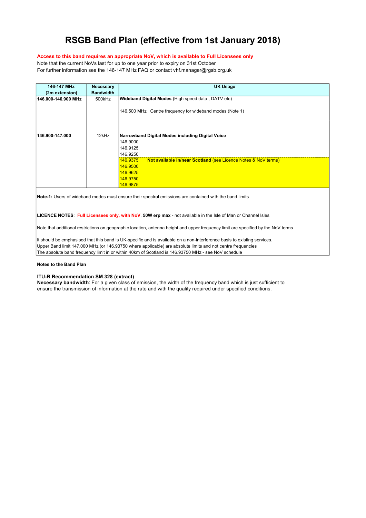### Access to this band requires an appropriate NoV, which is available to Full Licensees only

Note that the current NoVs last for up to one year prior to expiry on 31st October For further information see the 146-147 MHz FAQ or contact vhf.manager@rgsb.org.uk

| 146-147 MHz<br>(2m extension) | <b>Necessary</b><br><b>Bandwidth</b> | <b>UK Usage</b>                                                                                               |
|-------------------------------|--------------------------------------|---------------------------------------------------------------------------------------------------------------|
| 146.000-146.900 MHz           | 500kHz                               | <b>Wideband Digital Modes</b> (High speed data, DATV etc)                                                     |
|                               |                                      | 146.500 MHz Centre frequency for wideband modes (Note 1)                                                      |
| 146.900-147.000               | 12kHz                                | Narrowband Digital Modes including Digital Voice<br>146.9000<br>146.9125<br>146.9250                          |
|                               |                                      | <b>Not available in/near Scotland (see Licence Notes &amp; NoV terms)</b><br>146.9375<br>146.9500<br>146.9625 |
|                               |                                      | 146.9750<br>146.9875                                                                                          |

Note-1: Users of wideband modes must ensure their spectral emissions are contained with the band limits

LICENCE NOTES: Full Licensees only, with NoV, 50W erp max - not available in the Isle of Man or Channel Isles

Note that additional restrictions on geographic location, antenna height and upper frequency limit are specified by the NoV terms

It should be emphasised that this band is UK-specific and is available on a non-interference basis to existing services. Upper Band limit 147.000 MHz (or 146.93750 where applicable) are absolute limits and not centre frequencies The absolute band frequency limit in or within 40km of Scotland is 146.93750 MHz - see NoV schedule

#### Notes to the Band Plan

#### ITU-R Recommendation SM.328 (extract)

Necessary bandwidth: For a given class of emission, the width of the frequency band which is just sufficient to ensure the transmission of information at the rate and with the quality required under specified conditions.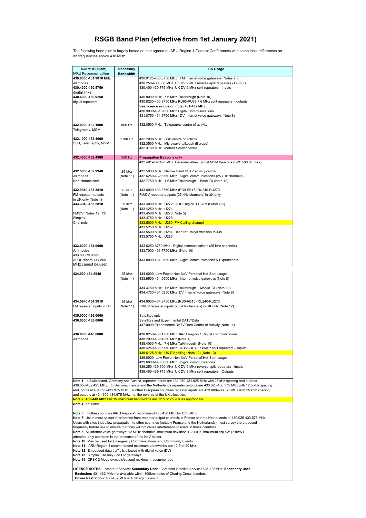The following band plan is largely based on that agreed at IARU Region 1 General Conferences with some local differences on on frequencies above 430 MHz.

| 430 MHz (70cm)                                                                                                  | Necessary                                                                                                                                                                                                                     | <b>UK Usage</b>                                                                                                                                                                                                                                    |  |
|-----------------------------------------------------------------------------------------------------------------|-------------------------------------------------------------------------------------------------------------------------------------------------------------------------------------------------------------------------------|----------------------------------------------------------------------------------------------------------------------------------------------------------------------------------------------------------------------------------------------------|--|
| <b>IARU Recommendation</b><br>430.0000-431.9810 MHz                                                             | <b>Bandwidth</b>                                                                                                                                                                                                              | 430.0125-430.0750 MHz FM Internet voice gateways (Notes 7, 8)                                                                                                                                                                                      |  |
| All modes                                                                                                       |                                                                                                                                                                                                                               | 430.250-430.300 MHz UK DV 9 MHz reverse-split repeaters - Outputs                                                                                                                                                                                  |  |
| 430.4000-430.5750<br>digital links                                                                              |                                                                                                                                                                                                                               | 430.400-430.775 MHz UK DV 9 MHz split repeaters - Inputs                                                                                                                                                                                           |  |
| 430.6000-430.9250                                                                                               |                                                                                                                                                                                                                               | 430.8000 MHz 7.6 MHz Talkthrough (Note 10)                                                                                                                                                                                                         |  |
| digital repeaters                                                                                               |                                                                                                                                                                                                                               | 430.8250-430.9750 MHz RU66-RU78 7.6 MHz split repeaters - outputs<br>See licence exclusion note; 431-432 MHz                                                                                                                                       |  |
|                                                                                                                 |                                                                                                                                                                                                                               | 430.9900-431.9000 MHz Digital Communications                                                                                                                                                                                                       |  |
|                                                                                                                 |                                                                                                                                                                                                                               | 431.0750-431.1750 MHz DV Internet voice gateways (Note 8)                                                                                                                                                                                          |  |
| 432.0000-432.1000                                                                                               | 500 Hz                                                                                                                                                                                                                        | 432.0500 MHz Telegraphy centre of activity                                                                                                                                                                                                         |  |
| Telegraphy, MGM                                                                                                 |                                                                                                                                                                                                                               |                                                                                                                                                                                                                                                    |  |
| 432.1000-432.4000                                                                                               | 2700 Hz                                                                                                                                                                                                                       | 432.2000 MHz SSB centre of activity                                                                                                                                                                                                                |  |
| SSB, Telegraphy, MGM                                                                                            |                                                                                                                                                                                                                               | 432.3500 MHz Microwave talkback (Europe)<br>432.3700 MHz Meteor Scatter centre                                                                                                                                                                     |  |
|                                                                                                                 | 500 Hz                                                                                                                                                                                                                        |                                                                                                                                                                                                                                                    |  |
| 432.4000-432.4900                                                                                               |                                                                                                                                                                                                                               | <b>Propagation Beacons only</b><br>432.491-432.493 MHz Personal Weak Signal MGM Beacons (BW: 500 Hz max)                                                                                                                                           |  |
| 432.5000-432.9940                                                                                               | 25 kHz                                                                                                                                                                                                                        | 432.5000 MHz Narrow band SSTV activity centre                                                                                                                                                                                                      |  |
| All modes                                                                                                       | (Note 11)                                                                                                                                                                                                                     | 432.6250-432.6750 MHz Digital communications (25 kHz channels)                                                                                                                                                                                     |  |
| Non-channelised                                                                                                 |                                                                                                                                                                                                                               | 432.7750 MHz 1.6 MHz Talkthrough - Base TX (Note 10)                                                                                                                                                                                               |  |
| 432.9940-433.3810                                                                                               | 25 kHz                                                                                                                                                                                                                        | 433.0000-433.3750 MHz (RB0-RB15) RU240-RU270                                                                                                                                                                                                       |  |
| FM repeater outputs<br>in UK only (Note 1)                                                                      | (Note 11)                                                                                                                                                                                                                     | FM/DV repeater outputs (25 kHz channels) in UK only                                                                                                                                                                                                |  |
| 433.3940-433.5810                                                                                               | 25 kHz                                                                                                                                                                                                                        | 433.4000 MHz U272; IARU Region 1 SSTV (FM/AFSK)                                                                                                                                                                                                    |  |
|                                                                                                                 | (Note 11)                                                                                                                                                                                                                     | 433.4250 MHz U274                                                                                                                                                                                                                                  |  |
| FM/DV (Notes 12, 13)<br>Simplex                                                                                 |                                                                                                                                                                                                                               | 433.4500 MHz U276 (Note 5)<br>433.4750 MHz U278                                                                                                                                                                                                    |  |
| Channels                                                                                                        |                                                                                                                                                                                                                               | 433.5000 MHz U280 FM Calling channel                                                                                                                                                                                                               |  |
|                                                                                                                 |                                                                                                                                                                                                                               | 433.5250 MHz U282<br>433.5500 MHz U284 Used for Rally/Exhibition talk-in                                                                                                                                                                           |  |
|                                                                                                                 |                                                                                                                                                                                                                               | 433.5750 MHz U286                                                                                                                                                                                                                                  |  |
| 433.6000-434.0000                                                                                               |                                                                                                                                                                                                                               | 433.6250-6750 MHz Digital communications (25 kHz channels)                                                                                                                                                                                         |  |
| All modes                                                                                                       |                                                                                                                                                                                                                               | 433.7000-433.7750 MHz (Note 10)                                                                                                                                                                                                                    |  |
| 433.800 MHz for<br>APRS where 144.800                                                                           |                                                                                                                                                                                                                               | 433.8000-434.2500 MHz Digital communications & Experiments                                                                                                                                                                                         |  |
| MHz cannot be used.                                                                                             |                                                                                                                                                                                                                               |                                                                                                                                                                                                                                                    |  |
| 434.000-434.5940                                                                                                | 25 kHz                                                                                                                                                                                                                        | 434.0000 Low Power Non-NoV Personal Hot-Spot usage                                                                                                                                                                                                 |  |
|                                                                                                                 | (Note 11)                                                                                                                                                                                                                     | 433.9500-434.0500 MHz Internet voice gateways (Note 8)                                                                                                                                                                                             |  |
|                                                                                                                 |                                                                                                                                                                                                                               | 434.3750 MHz 1.6 MHz Talkthrough - Mobile TX (Note 10)                                                                                                                                                                                             |  |
|                                                                                                                 |                                                                                                                                                                                                                               | 434.4750-434.5250 MHz DV Internet voice gateways (Note 8)                                                                                                                                                                                          |  |
| 434.5940-434.9810                                                                                               | 25 kHz                                                                                                                                                                                                                        | 434.6000-434.9750 MHz (RB0-RB15) RU240-RU270                                                                                                                                                                                                       |  |
| FM repeater inputs in UK                                                                                        | (Note 11)                                                                                                                                                                                                                     | FM/DV repeater inputs (25 kHz channels) in UK only (Note 12).                                                                                                                                                                                      |  |
| 435.0000-436.0000                                                                                               |                                                                                                                                                                                                                               | Satellites only                                                                                                                                                                                                                                    |  |
| 436.0000-438.0000                                                                                               |                                                                                                                                                                                                                               | Satellites and Experimental DATV/Data                                                                                                                                                                                                              |  |
|                                                                                                                 |                                                                                                                                                                                                                               | 437.0000 Experimental DATV/Data Centre of Activity (Note 14)                                                                                                                                                                                       |  |
| 438.0000-440.0000                                                                                               |                                                                                                                                                                                                                               | 438.0250-438.1750 MHz IARU Region 1 Digital communications                                                                                                                                                                                         |  |
| All modes                                                                                                       |                                                                                                                                                                                                                               | 438.2000-439.4250 MHz (Note 1)<br>438.4000 MHz 7.6 MHz Talkthrough (Note 10)                                                                                                                                                                       |  |
|                                                                                                                 |                                                                                                                                                                                                                               | 438.4250-438.5750 MHz RU66-RU78 7.6MHz split repeaters - inputs                                                                                                                                                                                    |  |
|                                                                                                                 |                                                                                                                                                                                                                               | 438.6125 MHz UK DV calling (Note 12) (Note 13)<br>438.8000 Low Power Non-NoV Personal Hot-Spot usage                                                                                                                                               |  |
|                                                                                                                 |                                                                                                                                                                                                                               | 439.6000-440.0000 MHz Digital communications                                                                                                                                                                                                       |  |
|                                                                                                                 |                                                                                                                                                                                                                               | 439.250-439.300 MHz UK DV 9 MHz reverse-split repeaters - Inputs<br>439.400-439.775 MHz UK DV 9 MHz split repeaters - Outputs                                                                                                                      |  |
|                                                                                                                 |                                                                                                                                                                                                                               |                                                                                                                                                                                                                                                    |  |
|                                                                                                                 |                                                                                                                                                                                                                               | Note 1: In Switzerland, Germany and Austria, repeater inputs are 431.050-431.825 MHz with 25 kHz spacing and outputs<br>438.650-439.425 MHz. In Belgium, France and the Netherlands repeater outputs are 430.025-430.375 MHz with 12.5 kHz spacing |  |
|                                                                                                                 |                                                                                                                                                                                                                               | and inputs at 431.625-431.975 MHz. In other European countries repeater inputs are 433.000-433.375 MHz with 25 kHz spacing                                                                                                                         |  |
|                                                                                                                 |                                                                                                                                                                                                                               | and outputs at 434.600-434.975 MHz, i.e. the reverse of the UK allocation.<br>Note 2: 430-440 MHz FM/DV maximum bandwidths are 12.5 or 25 kHz as appropriate                                                                                       |  |
| Note 4: not used                                                                                                |                                                                                                                                                                                                                               |                                                                                                                                                                                                                                                    |  |
|                                                                                                                 |                                                                                                                                                                                                                               | Note 5: In other countries IARU Region-1 recommend 433.450 MHz for DV calling                                                                                                                                                                      |  |
|                                                                                                                 |                                                                                                                                                                                                                               | Note 7: Users must accept interference from repeater output channels in France and the Netherlands at 430.025-430.575 MHz.                                                                                                                         |  |
|                                                                                                                 | Users with sites that allow propagation to other countries (notably France and the Netherlands) must survey the proposed<br>frequency before use to ensure that they will not cause interference to users in those countries. |                                                                                                                                                                                                                                                    |  |
| Note 8: All Internet voice gateways: 12.5kHz channels, maximum deviation +-2.4kHz, maximum erp 5W (7 dBW),      |                                                                                                                                                                                                                               |                                                                                                                                                                                                                                                    |  |
|                                                                                                                 | attended-only operation in the presence of the NoV holder.<br>Note 10: May be used for Emergency Communications and Community Events                                                                                          |                                                                                                                                                                                                                                                    |  |
| Note 11: IARU Region 1 recommended maximum bandwidths are 12.5 or 20 kHz                                        |                                                                                                                                                                                                                               |                                                                                                                                                                                                                                                    |  |
| Note 12: Embedded data traffic is allowed with digital voice (DV)<br>Note 13: Simplex use only - no DV gateways |                                                                                                                                                                                                                               |                                                                                                                                                                                                                                                    |  |
|                                                                                                                 |                                                                                                                                                                                                                               |                                                                                                                                                                                                                                                    |  |
| Note 14: QPSK 2 Mega-symbols/second maximum recommended                                                         |                                                                                                                                                                                                                               |                                                                                                                                                                                                                                                    |  |
|                                                                                                                 |                                                                                                                                                                                                                               | LICENCE NOTES: Amateur Service: Secondary User. Amateur Satellite Service: 435-438MHz: Secondary User                                                                                                                                              |  |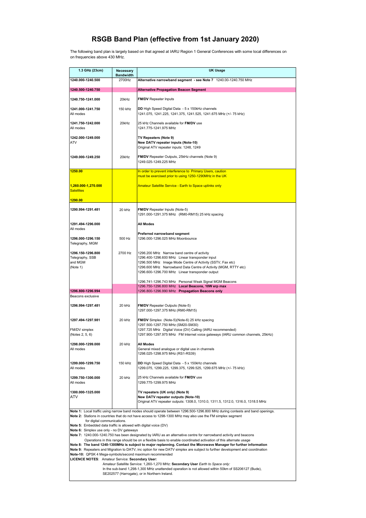The following band plan is largely based on that agreed at IARU Region 1 General Conferences with some local differences on on frequencies above 430 MHz.

| 1.3 GHz (23cm)                                                                                                                                                                                                                                                                                                                                                                                                                                                                                                                                                                                                                                                                                                                                                                                                                                                                                                                                                                                                                                                                                                                                                                                                                                       | Necessary<br><b>Bandwidth</b> | <b>UK Usage</b>                                                                                                                                                                                                                                                                   |
|------------------------------------------------------------------------------------------------------------------------------------------------------------------------------------------------------------------------------------------------------------------------------------------------------------------------------------------------------------------------------------------------------------------------------------------------------------------------------------------------------------------------------------------------------------------------------------------------------------------------------------------------------------------------------------------------------------------------------------------------------------------------------------------------------------------------------------------------------------------------------------------------------------------------------------------------------------------------------------------------------------------------------------------------------------------------------------------------------------------------------------------------------------------------------------------------------------------------------------------------------|-------------------------------|-----------------------------------------------------------------------------------------------------------------------------------------------------------------------------------------------------------------------------------------------------------------------------------|
| 1240.000-1240.500                                                                                                                                                                                                                                                                                                                                                                                                                                                                                                                                                                                                                                                                                                                                                                                                                                                                                                                                                                                                                                                                                                                                                                                                                                    | 2700Hz                        | Alternative narrowband segment - see Note 7 1240.00-1240.750 MHz                                                                                                                                                                                                                  |
| 1240.500-1240.750                                                                                                                                                                                                                                                                                                                                                                                                                                                                                                                                                                                                                                                                                                                                                                                                                                                                                                                                                                                                                                                                                                                                                                                                                                    |                               | <b>Alternative Propagation Beacon Segment</b>                                                                                                                                                                                                                                     |
| 1240.750-1241.000                                                                                                                                                                                                                                                                                                                                                                                                                                                                                                                                                                                                                                                                                                                                                                                                                                                                                                                                                                                                                                                                                                                                                                                                                                    | 20kHz                         | <b>FM/DV</b> Repeater Inputs                                                                                                                                                                                                                                                      |
| 1241.000-1241.750<br>All modes                                                                                                                                                                                                                                                                                                                                                                                                                                                                                                                                                                                                                                                                                                                                                                                                                                                                                                                                                                                                                                                                                                                                                                                                                       | 150 kHz                       | DD High Speed Digital Data - 5 x 150kHz channels<br>1241.075, 1241.225, 1241.375, 1241.525, 1241.675 MHz (+/- 75 kHz)                                                                                                                                                             |
| 1241.750-1242.000<br>All modes                                                                                                                                                                                                                                                                                                                                                                                                                                                                                                                                                                                                                                                                                                                                                                                                                                                                                                                                                                                                                                                                                                                                                                                                                       | 20kHz                         | 25 kHz Channels available for FM/DV use<br>1241.775-1241.975 MHz                                                                                                                                                                                                                  |
| 1242.000-1249.000<br>ATV                                                                                                                                                                                                                                                                                                                                                                                                                                                                                                                                                                                                                                                                                                                                                                                                                                                                                                                                                                                                                                                                                                                                                                                                                             |                               | TV Repeaters (Note 9)<br>New DATV repeater inputs (Note-10)<br>Original ATV repeater inputs: 1248, 1249                                                                                                                                                                           |
| 1249.000-1249.250                                                                                                                                                                                                                                                                                                                                                                                                                                                                                                                                                                                                                                                                                                                                                                                                                                                                                                                                                                                                                                                                                                                                                                                                                                    | 20kHz                         | FM/DV Repeater Outputs, 25kHz channels (Note 9)<br>1249.025-1249.225 MHz                                                                                                                                                                                                          |
| 1250.00                                                                                                                                                                                                                                                                                                                                                                                                                                                                                                                                                                                                                                                                                                                                                                                                                                                                                                                                                                                                                                                                                                                                                                                                                                              |                               | In order to prevent interference to Primary Users, caution<br>must be exercised prior to using 1250-1290MHz in the UK                                                                                                                                                             |
| 1,260.000-1,270.000<br><b>Satellites</b>                                                                                                                                                                                                                                                                                                                                                                                                                                                                                                                                                                                                                                                                                                                                                                                                                                                                                                                                                                                                                                                                                                                                                                                                             |                               | <b>Amateur Satellite Service - Earth to Space uplinks only</b>                                                                                                                                                                                                                    |
| 1290.00                                                                                                                                                                                                                                                                                                                                                                                                                                                                                                                                                                                                                                                                                                                                                                                                                                                                                                                                                                                                                                                                                                                                                                                                                                              |                               |                                                                                                                                                                                                                                                                                   |
| 1290.994-1291.481                                                                                                                                                                                                                                                                                                                                                                                                                                                                                                                                                                                                                                                                                                                                                                                                                                                                                                                                                                                                                                                                                                                                                                                                                                    | 20 kHz                        | FM/DV Repeater Inputs (Note-5)<br>1291.000-1291.375 MHz (RM0-RM15) 25 kHz spacing                                                                                                                                                                                                 |
| 1291.494-1296.000<br>All modes                                                                                                                                                                                                                                                                                                                                                                                                                                                                                                                                                                                                                                                                                                                                                                                                                                                                                                                                                                                                                                                                                                                                                                                                                       |                               | <b>All Modes</b>                                                                                                                                                                                                                                                                  |
| 1296.000-1296.150<br>Telegraphy, MGM                                                                                                                                                                                                                                                                                                                                                                                                                                                                                                                                                                                                                                                                                                                                                                                                                                                                                                                                                                                                                                                                                                                                                                                                                 | 500 Hz                        | Preferred narrowband segment<br>1296.000-1296.025 MHz Moonbounce                                                                                                                                                                                                                  |
| 1296.150-1296.800<br>Telegraphy, SSB<br>and MGM<br>(Note 1)                                                                                                                                                                                                                                                                                                                                                                                                                                                                                                                                                                                                                                                                                                                                                                                                                                                                                                                                                                                                                                                                                                                                                                                          | 2700 Hz                       | 1296.200 MHz Narrow band centre of activity<br>1296.400-1296.600 MHz Linear transponder input<br>1296.500 MHz Image Mode Centre of Activity (SSTV, Fax etc)<br>1296.600 MHz Narrowband Data Centre of Activity (MGM, RTTY etc)<br>1296.600-1296.700 MHz Linear transponder output |
|                                                                                                                                                                                                                                                                                                                                                                                                                                                                                                                                                                                                                                                                                                                                                                                                                                                                                                                                                                                                                                                                                                                                                                                                                                                      |                               | 1296.741-1296.743 MHz Personal Weak Signal MGM Beacons<br>1296.750-1296.800 MHz Local Beacons, 10W erp max                                                                                                                                                                        |
| 1296.800-1296.994<br>Beacons exclusive                                                                                                                                                                                                                                                                                                                                                                                                                                                                                                                                                                                                                                                                                                                                                                                                                                                                                                                                                                                                                                                                                                                                                                                                               |                               | 1296.800-1296.990 MHz Propagation Beacons only                                                                                                                                                                                                                                    |
| 1296.994-1297.481                                                                                                                                                                                                                                                                                                                                                                                                                                                                                                                                                                                                                                                                                                                                                                                                                                                                                                                                                                                                                                                                                                                                                                                                                                    | 20 kHz                        | <b>FM/DV</b> Repeater Outputs (Note-5)<br>1297.000-1297.375 MHz (RM0-RM15)                                                                                                                                                                                                        |
| 1297.494-1297.981<br>FM/DV simplex                                                                                                                                                                                                                                                                                                                                                                                                                                                                                                                                                                                                                                                                                                                                                                                                                                                                                                                                                                                                                                                                                                                                                                                                                   | 20 kHz                        | FM/DV Simplex (Note-5)(Note-6) 25 kHz spacing<br>1297.500-1297.750 MHz (SM20-SM30)<br>1297.725 MHz Digital Voice (DV) Calling (IARU recommended)                                                                                                                                  |
| (Notes 2, 5, 6)                                                                                                                                                                                                                                                                                                                                                                                                                                                                                                                                                                                                                                                                                                                                                                                                                                                                                                                                                                                                                                                                                                                                                                                                                                      |                               | 1297.900-1297.975 MHz FM Internet voice gateways (IARU common channels, 25kHz)                                                                                                                                                                                                    |
| 1298.000-1299.000<br>All modes                                                                                                                                                                                                                                                                                                                                                                                                                                                                                                                                                                                                                                                                                                                                                                                                                                                                                                                                                                                                                                                                                                                                                                                                                       | 20 kHz                        | All Modes<br>General mixed analogue or digital use in channels<br>1298.025-1298.975 MHz (RS1-RS39)                                                                                                                                                                                |
| 1299.000-1299.750<br>All modes                                                                                                                                                                                                                                                                                                                                                                                                                                                                                                                                                                                                                                                                                                                                                                                                                                                                                                                                                                                                                                                                                                                                                                                                                       | 150 kHz                       | DD High Speed Digital Data - 5 x 150kHz channels<br>1299.075, 1299.225, 1299.375, 1299.525, 1299.675 MHz (+/- 75 kHz)                                                                                                                                                             |
| 1299.750-1300.000<br>All modes                                                                                                                                                                                                                                                                                                                                                                                                                                                                                                                                                                                                                                                                                                                                                                                                                                                                                                                                                                                                                                                                                                                                                                                                                       | 20 kHz                        | 25 kHz Channels available for FM/DV use<br>1299.775-1299.975 MHz                                                                                                                                                                                                                  |
| 1300.000-1325.000<br>ATV                                                                                                                                                                                                                                                                                                                                                                                                                                                                                                                                                                                                                                                                                                                                                                                                                                                                                                                                                                                                                                                                                                                                                                                                                             |                               | TV repeaters (UK only) (Note 9)<br><b>New DATV repeater outputs (Note-10)</b><br>Original ATV repeater outputs: 1308.0, 1310.0, 1311.5, 1312.0, 1316.0, 1318.5 MHz                                                                                                                |
| Note 1: Local traffic using narrow band modes should operate between 1296.500-1296.800 MHz during contests and band openings.<br>Note 2: Stations in countries that do not have access to 1298-1300 MHz may also use the FM simplex segment<br>for digital communications.<br>Note 5: Embedded data traffic is allowed with digital voice (DV)<br>Note 6: Simplex use only - no DV gateways<br>Note 7: 1240.000-1240.750 has been designated by IARU as an alternative centre for narrowband activity and beacons<br>Operations in this range should be on a flexible basis to enable coordinated activation of this alternate usage<br>Note 8: The band 1240-1300MHz is subject to major replanning. Contact the Microwave Manager for further information<br>Note 9: Repeaters and Migration to DATV, inc option for new DATV simplex are subject to further development and coordination<br>Note-10: QPSK 4 Mega-symbols/second maximum recommended<br>LICENCE NOTES: Amateur Service: Secondary User:<br>Amateur Satellite Service: 1,260-1,270 MHz: Secondary User Earth to Space only:<br>In the sub-band 1,298-1,300 MHz unattended operation is not allowed within 50km of SS206127 (Bude),<br>SE202577 (Harrogate), or in Northern Ireland. |                               |                                                                                                                                                                                                                                                                                   |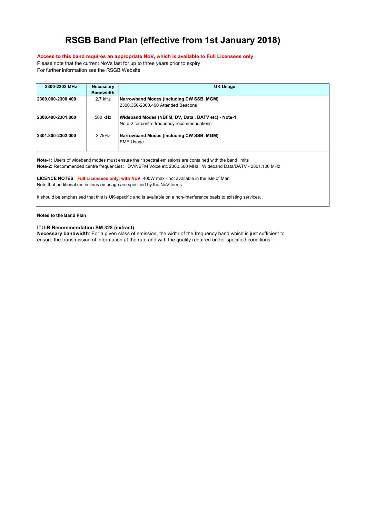### Access to this band requires an appropriate NoV, which is available to Full Licensees only

Please note that the current NoVs last for up to three years prior to expiry For further information see the RSGB Website

| 2300-2302 MHz      | <b>Necessary</b> | <b>UK Usage</b>                                                                                                                                                                                                      |
|--------------------|------------------|----------------------------------------------------------------------------------------------------------------------------------------------------------------------------------------------------------------------|
|                    | <b>Bandwidth</b> |                                                                                                                                                                                                                      |
| 2300.000-2300.400  | $2.7$ kHz        | Narrowband Modes (including CW SSB, MGM)                                                                                                                                                                             |
|                    |                  | 2300.350-2300.400 Attended Beacons                                                                                                                                                                                   |
| 12300.400-2301.800 | 500 kHz          | Wideband Modes (NBFM, DV, Data, DATV etc) - Note-1                                                                                                                                                                   |
|                    |                  | Note-2 for centre frequency recommendations                                                                                                                                                                          |
| 12301.800-2302.000 | 2.7kHz           | Narrowband Modes (including CW SSB, MGM)<br><b>EME Usage</b>                                                                                                                                                         |
|                    |                  | Note-1: Users of wideband modes must ensure their spectral emissions are contained with the band limits<br>Note-2: Recommended centre frequencies: DV/NBFM Voice etc 2300.500 MHz, Wideband Data/DATV - 2301.100 MHz |
|                    |                  | LICENCE NOTES: Full Licensees only, with NoV, 400W max - not available in the Isle of Man<br>Note that additional restrictions on usage are specified by the NoV terms                                               |
|                    |                  | It should be emphasised that this is UK-specific and is available on a non-interference basis to existing services.                                                                                                  |

Notes to the Band Plan

### ITU-R Recommendation SM.328 (extract)

Necessary bandwidth: For a given class of emission, the width of the frequency band which is just sufficient to ensure the transmission of information at the rate and with the quality required under specified conditions.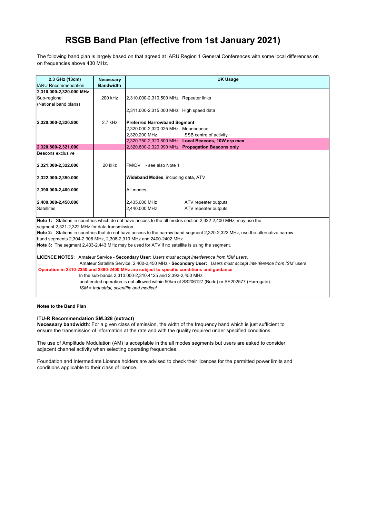The following band plan is largely based on that agreed at IARU Region 1 General Conferences with some local differences on on frequencies above 430 MHz.

| 2.3 GHz (13cm)                                 | <b>Necessary</b> | <b>UK Usage</b>                                                                                                                                                                                         |
|------------------------------------------------|------------------|---------------------------------------------------------------------------------------------------------------------------------------------------------------------------------------------------------|
| <b>IARU</b> Recommendation                     | <b>Bandwidth</b> |                                                                                                                                                                                                         |
| 2,310.000-2,320.000 MHz                        |                  |                                                                                                                                                                                                         |
| Sub-regional                                   | 200 kHz          | 2,310.000-2,310.500 MHz Repeater links                                                                                                                                                                  |
| (National band plans)                          |                  |                                                                                                                                                                                                         |
|                                                |                  | 2,311.000-2,315.000 MHz High speed data                                                                                                                                                                 |
|                                                |                  |                                                                                                                                                                                                         |
| 2,320.000-2,320.800                            | 2.7 kHz          | <b>Preferred Narrowband Segment</b>                                                                                                                                                                     |
|                                                |                  | 2,320.000-2,320.025 MHz Moonbounce                                                                                                                                                                      |
|                                                |                  | 2.320.200 MHz<br>SSB centre of activity                                                                                                                                                                 |
|                                                |                  | 2,320.750-2,320.800 MHz Local Beacons, 10W erp max                                                                                                                                                      |
| 2,320.800-2,321.000                            |                  | 2,320.800-2,320.990 MHz Propagation Beacons only                                                                                                                                                        |
| Beacons exclusive                              |                  |                                                                                                                                                                                                         |
|                                                |                  |                                                                                                                                                                                                         |
| 2,321.000-2,322.000                            | 20 kHz           | FM/DV - see also Note 1                                                                                                                                                                                 |
|                                                |                  |                                                                                                                                                                                                         |
| 2,322.000-2,350.000                            |                  | Wideband Modes, including data, ATV                                                                                                                                                                     |
|                                                |                  |                                                                                                                                                                                                         |
| 2,390.000-2,400.000                            |                  | All modes                                                                                                                                                                                               |
|                                                |                  |                                                                                                                                                                                                         |
| 2,400.000-2,450.000                            |                  | 2,435.000 MHz<br>ATV repeater outputs                                                                                                                                                                   |
| Satellites                                     |                  | 2,440.000 MHz<br>ATV repeater outputs                                                                                                                                                                   |
|                                                |                  |                                                                                                                                                                                                         |
|                                                |                  | Note 1: Stations in countries which do not have access to the all modes section 2,322-2,400 MHz, may use the                                                                                            |
| segment 2,321-2,322 MHz for data transmission. |                  |                                                                                                                                                                                                         |
|                                                |                  | Note 2: Stations in countries that do not have access to the narrow band segment 2,320-2,322 MHz, use the alternative narrow                                                                            |
|                                                |                  | band segments 2,304-2,306 MHz, 2,308-2,310 MHz and 2400-2402 MHz                                                                                                                                        |
|                                                |                  | Note 3: The segment 2,433-2,443 MHz may be used for ATV if no satellite is using the segment.                                                                                                           |
|                                                |                  |                                                                                                                                                                                                         |
|                                                |                  | LICENCE NOTES: Amateur Service - Secondary User: Users must accept interference from ISM users.                                                                                                         |
|                                                |                  | Amateur Satellite Service: 2,400-2,450 MHz - Secondary User: Users must accept inte rference from ISM users<br>Operation in 2310-2350 and 2390-2400 MHz are subject to specific conditions and quidance |
|                                                |                  | In the sub-bands 2,310.000-2,310.4125 and 2,392-2,450 MHz                                                                                                                                               |
|                                                |                  | unattended operation is not allowed within 50km of SS206127 (Bude) or SE202577 (Harrogate).                                                                                                             |
|                                                |                  | ISM = Industrial, scientific and medical.                                                                                                                                                               |
|                                                |                  |                                                                                                                                                                                                         |

Notes to the Band Plan

### ITU-R Recommendation SM.328 (extract)

Necessary bandwidth: For a given class of emission, the width of the frequency band which is just sufficient to ensure the transmission of information at the rate and with the quality required under specified conditions.

The use of Amplitude Modulation (AM) is acceptable in the all modes segments but users are asked to consider adjacent channel activity when selecting operating frequencies.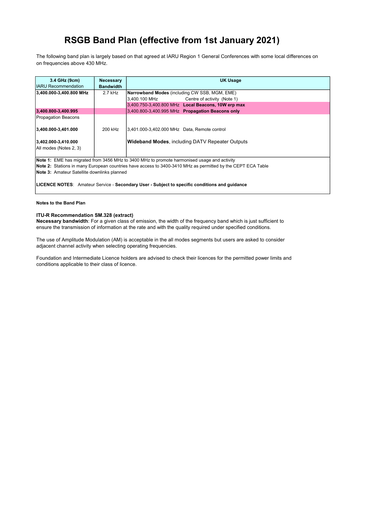The following band plan is largely based on that agreed at IARU Region 1 General Conferences with some local differences on on frequencies above 430 MHz.

| 3.4 GHz (9cm)                               | <b>Necessary</b> | UK Usage                                                                                                    |
|---------------------------------------------|------------------|-------------------------------------------------------------------------------------------------------------|
| IIARU Recommendation                        | <b>Bandwidth</b> |                                                                                                             |
| 3,400.000-3,400.800 MHz                     | $2.7$ kHz        | Narrowband Modes (including CW SSB, MGM, EME)                                                               |
|                                             |                  | 3,400.100 MHz Centre of activity (Note 1)                                                                   |
|                                             |                  | 3,400.750-3,400.800 MHz Local Beacons, 10W erp max                                                          |
| 3,400.800-3,400.995                         |                  | 3,400.800-3,400.995 MHz Propagation Beacons only                                                            |
| <b>Propagation Beacons</b>                  |                  |                                                                                                             |
| 3,400.000-3,401.000                         | 200 kHz          | 3,401.000-3,402.000 MHz Data, Remote control                                                                |
| 3,402.000-3,410.000                         |                  | <b>Wideband Modes, including DATV Repeater Outputs</b>                                                      |
| All modes (Notes 2, 3)                      |                  |                                                                                                             |
|                                             |                  | Note 1: EME has migrated from 3456 MHz to 3400 MHz to promote harmonised usage and activity                 |
|                                             |                  | Note 2: Stations in many European countries have access to 3400-3410 MHz as permitted by the CEPT ECA Table |
| Note 3: Amateur Satellite downlinks planned |                  |                                                                                                             |
|                                             |                  | LICENCE NOTES: Amateur Service - Secondary User - Subject to specific conditions and guidance               |

#### Notes to the Band Plan

### ITU-R Recommendation SM.328 (extract)

Necessary bandwidth: For a given class of emission, the width of the frequency band which is just sufficient to ensure the transmission of information at the rate and with the quality required under specified conditions.

The use of Amplitude Modulation (AM) is acceptable in the all modes segments but users are asked to consider adjacent channel activity when selecting operating frequencies.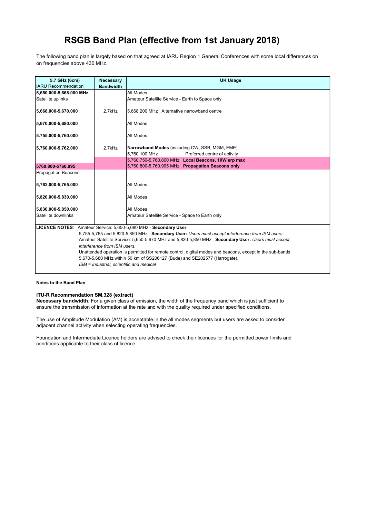The following band plan is largely based on that agreed at IARU Region 1 General Conferences with some local differences on on frequencies above 430 MHz.

| 5.7 GHz (6cm)              | Necessary                                | <b>UK Usage</b>                                                                                          |
|----------------------------|------------------------------------------|----------------------------------------------------------------------------------------------------------|
| IIARU Recommendation       | <b>Bandwidth</b>                         |                                                                                                          |
| 5,650.000-5,668.000 MHz    |                                          | All Modes                                                                                                |
| Satellite uplinks          |                                          | Amateur Satellite Service - Earth to Space only                                                          |
| 5,668.000-5,670.000        | 2.7kHz                                   | 5.668.200 MHz Alternative narrowband centre                                                              |
| 5,670.000-5,680.000        |                                          | All Modes                                                                                                |
| 5.755.000-5,760.000        |                                          | All Modes                                                                                                |
| 5,760.000-5,762.000        | 2.7kHz                                   | Narrowband Modes (including CW, SSB, MGM, EME)                                                           |
|                            |                                          | 5.760.100 MHz<br>Preferred centre of activity                                                            |
|                            |                                          | 5,760.750-5,760.800 MHz Local Beacons, 10W erp max                                                       |
| 5760.800-5760.995          |                                          | 5,760.800-5,760.995 MHz Propagation Beacons only                                                         |
| <b>Propagation Beacons</b> |                                          |                                                                                                          |
| 5,762.000-5,765.000        |                                          | All Modes                                                                                                |
| 5,820.000-5,830.000        |                                          | All Modes                                                                                                |
|                            |                                          |                                                                                                          |
| 5,830.000-5,850.000        |                                          | All Modes                                                                                                |
| Satellite downlinks        |                                          | Amateur Satellite Service - Space to Earth only                                                          |
|                            |                                          | LICENCE NOTES: Amateur Service: 5,650-5,680 MHz - Secondary User.                                        |
|                            |                                          | 5,755-5,765 and 5,820-5,850 MHz - Secondary User: Users must accept interference from ISM users.         |
|                            |                                          | Amateur Satellite Service: 5,650-5,670 MHz and 5,830-5,850 MHz - Secondary User: Users must accept       |
|                            | interference from ISM users.             |                                                                                                          |
|                            |                                          | Unattended operation is permitted for remote control, digital modes and beacons, except in the sub-bands |
|                            |                                          | 5,670-5,680 MHz within 50 km of SS206127 (Bude) and SE202577 (Harrogate).                                |
|                            | ISM = Industrial, scientific and medical |                                                                                                          |
|                            |                                          |                                                                                                          |

#### Notes to the Band Plan

#### ITU-R Recommendation SM.328 (extract)

Necessary bandwidth: For a given class of emission, the width of the frequency band which is just sufficient to ensure the transmission of information at the rate and with the quality required under specified conditions.

The use of Amplitude Modulation (AM) is acceptable in the all modes segments but users are asked to consider adjacent channel activity when selecting operating frequencies.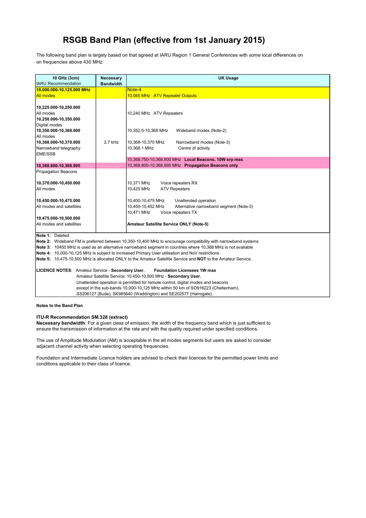The following band plan is largely based on that agreed at IARU Region 1 General Conferences with some local differences on on frequencies above 430 MHz.

| <b>Necessary</b> | <b>UK Usage</b>                                                                                                                                                                                                                                                                                                                                                                                                                                   |
|------------------|---------------------------------------------------------------------------------------------------------------------------------------------------------------------------------------------------------------------------------------------------------------------------------------------------------------------------------------------------------------------------------------------------------------------------------------------------|
|                  | Note-4                                                                                                                                                                                                                                                                                                                                                                                                                                            |
|                  | 10,065 MHz ATV Repeater Outputs                                                                                                                                                                                                                                                                                                                                                                                                                   |
|                  |                                                                                                                                                                                                                                                                                                                                                                                                                                                   |
|                  | 10,240 MHz ATV Repeaters                                                                                                                                                                                                                                                                                                                                                                                                                          |
|                  | 10,352.5-10,368 MHz<br>Wideband modes (Note-2)                                                                                                                                                                                                                                                                                                                                                                                                    |
| 2.7 kHz          | 10,368-10,370 MHz<br>Narrowband modes (Note-3)<br>10,368.1 MHz<br>Centre of activity                                                                                                                                                                                                                                                                                                                                                              |
|                  | 10,368.750-10,368.800 MHz Local Beacons, 10W erp max                                                                                                                                                                                                                                                                                                                                                                                              |
|                  | 10,368.800-10,368.995 MHz Propagation Beacons only                                                                                                                                                                                                                                                                                                                                                                                                |
|                  |                                                                                                                                                                                                                                                                                                                                                                                                                                                   |
|                  | Voice repeaters RX<br>10,371 MHz<br>10,425 MHz<br><b>ATV Repeaters</b>                                                                                                                                                                                                                                                                                                                                                                            |
|                  | 10,400-10,475 MHz<br>Unattended operation<br>10,450-10,452 MHz<br>Alternative narrowband segment (Note-3)<br>10,471 MHz<br>Voice repeaters TX                                                                                                                                                                                                                                                                                                     |
|                  |                                                                                                                                                                                                                                                                                                                                                                                                                                                   |
|                  | Amateur Satellite Service ONLY (Note-5)                                                                                                                                                                                                                                                                                                                                                                                                           |
|                  | Note 2: Wideband FM is preferred between 10,350-10,400 MHz to encourage compatibility with narrowband systems<br>Note 3: 10450 MHz is used as an alternative narrowband segment in countries where 10,368 MHz is not available<br>Note 4: 10,000-10,125 MHz is subject to increased Primary User utilisation and NoV restrictions<br>Note 5: 10.475-10.500 MHz is allocated ONLY to the Amateur Satellite Service and NOT to the Amateur Service. |
|                  | <b>Foundation Licensees 1W max</b><br>Amateur Satellite Service: 10,450-10,500 MHz - Secondary User.                                                                                                                                                                                                                                                                                                                                              |
|                  | Unattended operation is permitted for remote control, digital modes and beacons<br>except in the sub-bands 10,000-10,125 MHz within 50 km of SO916223 (Cheltenham),                                                                                                                                                                                                                                                                               |
|                  | SS206127 (Bude), SK985640 (Waddington) and SE202577 (Harrogate).                                                                                                                                                                                                                                                                                                                                                                                  |
|                  | <b>Bandwidth</b><br>LICENCE NOTES: Amateur Service - Secondary User.                                                                                                                                                                                                                                                                                                                                                                              |

Notes to the Band Plan

### ITU-R Recommendation SM.328 (extract)

Necessary bandwidth: For a given class of emission, the width of the frequency band which is just sufficient to ensure the transmission of information at the rate and with the quality required under specified conditions.

The use of Amplitude Modulation (AM) is acceptable in the all modes segments but users are asked to consider adjacent channel activity when selecting operating frequencies.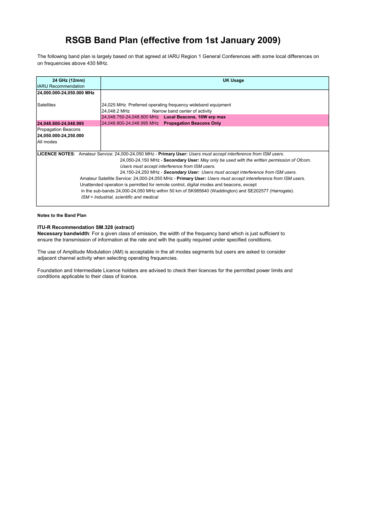The following band plan is largely based on that agreed at IARU Region 1 General Conferences with some local differences on on frequencies above 430 MHz.

| 24 GHz (12mm)             | <b>UK Usage</b>                                                                                                  |
|---------------------------|------------------------------------------------------------------------------------------------------------------|
| IIARU Recommendation      |                                                                                                                  |
| 24,000.000-24,050.000 MHz |                                                                                                                  |
|                           |                                                                                                                  |
| <b>Satellites</b>         | 24,025 MHz Preferred operating frequency wideband equipment                                                      |
|                           | Narrow band center of activity<br>24,048.2 MHz                                                                   |
|                           | 24,048.750-24,048.800 MHz Local Beacons, 10W erp max                                                             |
|                           |                                                                                                                  |
| 24,048.800-24,048.995     | 24,048.800-24,048.995 MHz Propagation Beacons Only                                                               |
| Propagation Beacons       |                                                                                                                  |
| 24,050.000-24,250.000     |                                                                                                                  |
| All modes                 |                                                                                                                  |
|                           |                                                                                                                  |
|                           | LICENCE NOTES: Amateur Service: 24,000-24,050 MHz - Primary User: Users must accept interference from ISM users. |
|                           | 24,050-24,150 MHz - Secondary User: May only be used with the written permission of Ofcom.                       |
|                           | Users must accept interference from ISM users.                                                                   |
|                           | 24,150-24,250 MHz - Secondary User: Users must accept interference from ISM users.                               |
|                           |                                                                                                                  |
|                           | Amateur Satellite Service: 24,000-24,050 MHz - Primary User: Users must accept intereference from ISM users.     |
|                           | Unattended operation is permitted for remote control, digital modes and beacons, except                          |
|                           | in the sub-bands 24,000-24,050 MHz within 50 km of SK985640 (Waddington) and SE202577 (Harrogate).               |
|                           | ISM = Industrial, scientific and medical                                                                         |
|                           |                                                                                                                  |

Notes to the Band Plan

### ITU-R Recommendation SM.328 (extract)

Necessary bandwidth: For a given class of emission, the width of the frequency band which is just sufficient to ensure the transmission of information at the rate and with the quality required under specified conditions.

The use of Amplitude Modulation (AM) is acceptable in the all modes segments but users are asked to consider adjacent channel activity when selecting operating frequencies.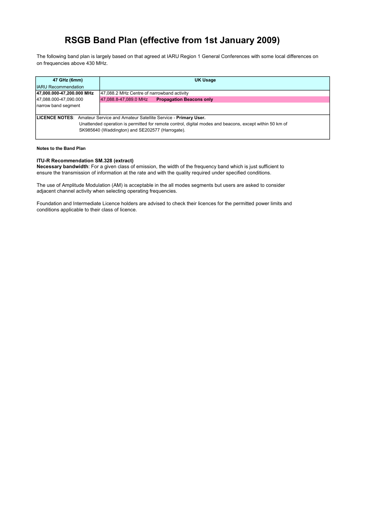The following band plan is largely based on that agreed at IARU Region 1 General Conferences with some local differences on on frequencies above 430 MHz.

| 47 GHz (6mm)                | UK Usage                                                                                                                                                                                |
|-----------------------------|-----------------------------------------------------------------------------------------------------------------------------------------------------------------------------------------|
| <b>IIARU Recommendation</b> |                                                                                                                                                                                         |
| 47,000.000-47,200.000 MHz   | 47,088.2 MHz Centre of narrowband activity                                                                                                                                              |
| 47,088.000-47,090.000       | <b>Propagation Beacons only</b><br>47,088.8-47,089.0 MHz                                                                                                                                |
| narrow band segment         |                                                                                                                                                                                         |
|                             | LICENCE NOTES: Amateur Service and Amateur Satellite Service - Primary User.<br>Unattended operation is permitted for remote control, digital modes and beacons, except within 50 km of |
|                             | SK985640 (Waddington) and SE202577 (Harrogate).                                                                                                                                         |

#### Notes to the Band Plan

#### ITU-R Recommendation SM.328 (extract)

Necessary bandwidth: For a given class of emission, the width of the frequency band which is just sufficient to ensure the transmission of information at the rate and with the quality required under specified conditions.

The use of Amplitude Modulation (AM) is acceptable in the all modes segments but users are asked to consider adjacent channel activity when selecting operating frequencies.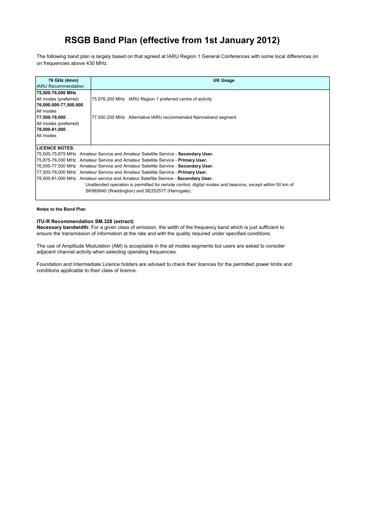The following band plan is largely based on that agreed at IARU Region 1 General Conferences with some local differences on on frequencies above 430 MHz.

| 76 GHz (4mm)                | UK Usage                                                                                                |
|-----------------------------|---------------------------------------------------------------------------------------------------------|
| <b>IIARU Recommendation</b> |                                                                                                         |
| 75,500-76,000 MHz           |                                                                                                         |
| All modes (preferred)       | 75,976.200 MHz IARU Region 1 preferred centre of activity                                               |
| 76,000.000-77,500.000       |                                                                                                         |
| IAII modes                  |                                                                                                         |
| 77,500-78,000               | 77,500.200 MHz Alternative IARU recommended Narrowband segment                                          |
| All modes (preferred)       |                                                                                                         |
| 78,000-81,000               |                                                                                                         |
| IAII modes                  |                                                                                                         |
|                             |                                                                                                         |
| <b>ILICENCE NOTES:</b>      |                                                                                                         |
|                             | 75,500-75,875 MHz Amateur Service and Amateur Satellite Service - Secondary User.                       |
|                             | 75,875-76,000 MHz Amateur Service and Amateur Satellite Service - Primary User.                         |
|                             | 76,000-77,500 MHz Amateur Service and Amateur Satellite Service - Secondary User.                       |
|                             | 177,500-78,000 MHz Amateur Service and Amateur Satellite Service - Primary User.                        |
|                             | 78,000-81,000 MHz Amateur service and Amateur Satellite Service - Secondary User.                       |
|                             | Unattended operation is permitted for remote control, digital modes and beacons, except within 50 km of |
|                             | SK985640 (Waddington) and SE202577 (Harrogate).                                                         |
|                             |                                                                                                         |

#### Notes to the Band Plan

### ITU-R Recommendation SM.328 (extract)

Necessary bandwidth: For a given class of emission, the width of the frequency band which is just sufficient to ensure the transmission of information at the rate and with the quality required under specified conditions.

The use of Amplitude Modulation (AM) is acceptable in the all modes segments but users are asked to consider adjacent channel activity when selecting operating frequencies.